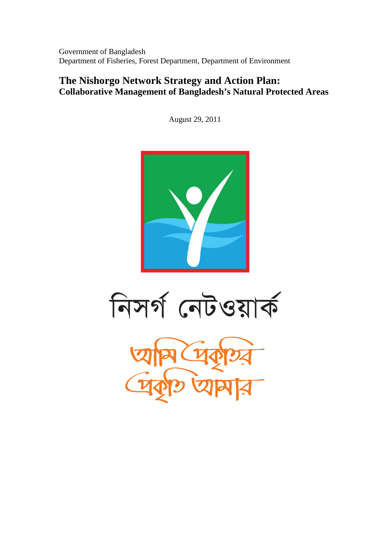Government of Bangladesh Department of Fisheries, Forest Department, Department of Environment

### **The Nishorgo Network Strategy and Action Plan: Collaborative Management of Bangladesh's Natural Protected Areas**

August 29, 2011



নিসর্গ নেটওয়ার্ক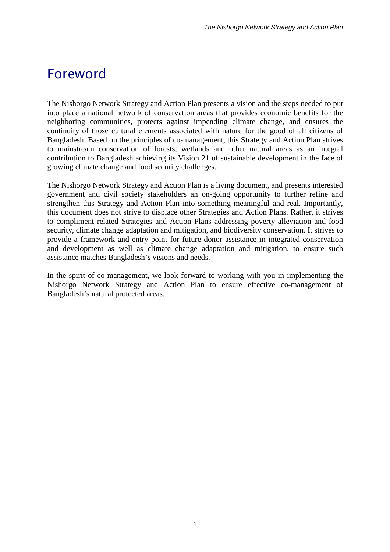## *Foreword*

The Nishorgo Network Strategy and Action Plan presents a vision and the steps needed to put into place a national network of conservation areas that provides economic benefits for the neighboring communities, protects against impending climate change, and ensures the continuity of those cultural elements associated with nature for the good of all citizens of Bangladesh. Based on the principles of co-management, this Strategy and Action Plan strives to mainstream conservation of forests, wetlands and other natural areas as an integral contribution to Bangladesh achieving its Vision 21 of sustainable development in the face of growing climate change and food security challenges.

The Nishorgo Network Strategy and Action Plan is a living document, and presents interested government and civil society stakeholders an on-going opportunity to further refine and strengthen this Strategy and Action Plan into something meaningful and real. Importantly, this document does not strive to displace other Strategies and Action Plans. Rather, it strives to compliment related Strategies and Action Plans addressing poverty alleviation and food security, climate change adaptation and mitigation, and biodiversity conservation. It strives to provide a framework and entry point for future donor assistance in integrated conservation and development as well as climate change adaptation and mitigation, to ensure such assistance matches Bangladesh's visions and needs.

In the spirit of co-management, we look forward to working with you in implementing the Nishorgo Network Strategy and Action Plan to ensure effective co-management of Bangladesh's natural protected areas.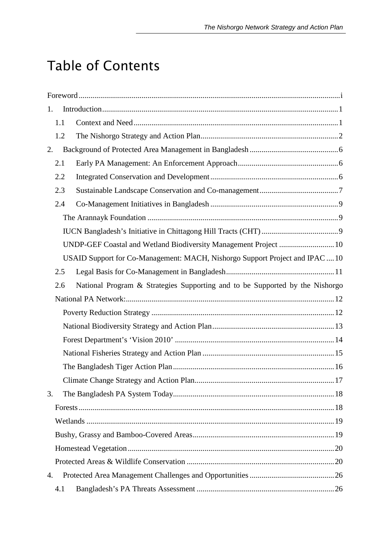# *Table of Contents*

| 1.  |                                                                              |
|-----|------------------------------------------------------------------------------|
| 1.1 |                                                                              |
| 1.2 |                                                                              |
| 2.  |                                                                              |
| 2.1 |                                                                              |
| 2.2 |                                                                              |
| 2.3 |                                                                              |
| 2.4 |                                                                              |
|     |                                                                              |
|     |                                                                              |
|     |                                                                              |
|     | USAID Support for Co-Management: MACH, Nishorgo Support Project and IPAC  10 |
| 2.5 |                                                                              |
| 2.6 | National Program & Strategies Supporting and to be Supported by the Nishorgo |
|     |                                                                              |
|     |                                                                              |
|     |                                                                              |
|     |                                                                              |
|     |                                                                              |
|     |                                                                              |
|     |                                                                              |
| 3.  |                                                                              |
|     |                                                                              |
|     |                                                                              |
|     |                                                                              |
|     |                                                                              |
|     |                                                                              |
| 4.  |                                                                              |
| 4.1 |                                                                              |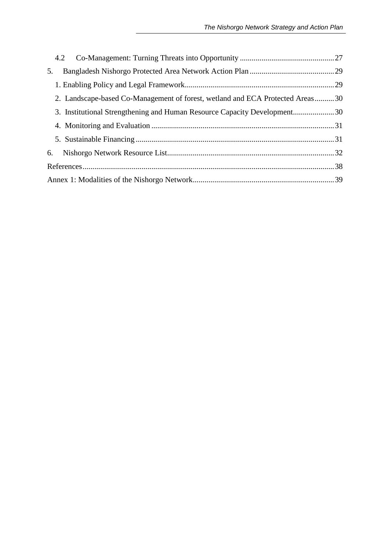| 5.                                                                            |  |
|-------------------------------------------------------------------------------|--|
|                                                                               |  |
| 2. Landscape-based Co-Management of forest, wetland and ECA Protected Areas30 |  |
| 3. Institutional Strengthening and Human Resource Capacity Development30      |  |
|                                                                               |  |
|                                                                               |  |
| 6.                                                                            |  |
|                                                                               |  |
|                                                                               |  |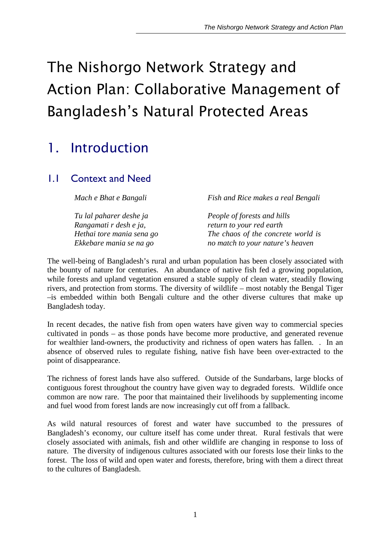# *The Nishorgo Network Strategy and Action Plan: Collaborative Management of Bangladesh's Natural Protected Areas*

## *1. Introduction*

## 1.1 Context and Need

*Mach e Bhat e Bangali* 

*Tu lal paharer deshe ja Rangamati r desh e ja, Hethai tore mania sena go Ekkebare mania se na go*

*Fish and Rice makes a real Bengali* 

*People of forests and hills return to your red earth The chaos of the concrete world is no match to your nature's heaven*

The well-being of Bangladesh's rural and urban population has been closely associated with the bounty of nature for centuries. An abundance of native fish fed a growing population, while forests and upland vegetation ensured a stable supply of clean water, steadily flowing rivers, and protection from storms. The diversity of wildlife – most notably the Bengal Tiger –is embedded within both Bengali culture and the other diverse cultures that make up Bangladesh today.

In recent decades, the native fish from open waters have given way to commercial species cultivated in ponds – as those ponds have become more productive, and generated revenue for wealthier land-owners, the productivity and richness of open waters has fallen. . In an absence of observed rules to regulate fishing, native fish have been over-extracted to the point of disappearance.

The richness of forest lands have also suffered. Outside of the Sundarbans, large blocks of contiguous forest throughout the country have given way to degraded forests. Wildlife once common are now rare. The poor that maintained their livelihoods by supplementing income and fuel wood from forest lands are now increasingly cut off from a fallback.

As wild natural resources of forest and water have succumbed to the pressures of Bangladesh's economy, our culture itself has come under threat. Rural festivals that were closely associated with animals, fish and other wildlife are changing in response to loss of nature. The diversity of indigenous cultures associated with our forests lose their links to the forest. The loss of wild and open water and forests, therefore, bring with them a direct threat to the cultures of Bangladesh.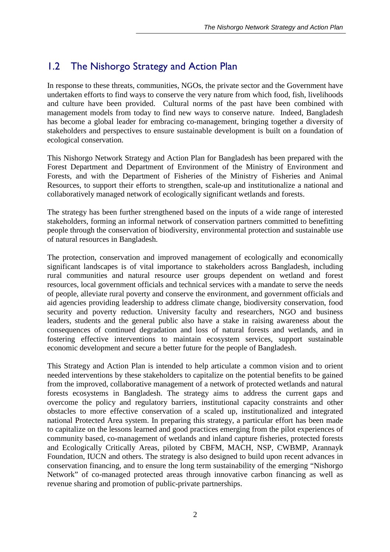## 1.2 The Nishorgo Strategy and Action Plan

In response to these threats, communities, NGOs, the private sector and the Government have undertaken efforts to find ways to conserve the very nature from which food, fish, livelihoods and culture have been provided. Cultural norms of the past have been combined with management models from today to find new ways to conserve nature. Indeed, Bangladesh has become a global leader for embracing co-management, bringing together a diversity of stakeholders and perspectives to ensure sustainable development is built on a foundation of ecological conservation.

This Nishorgo Network Strategy and Action Plan for Bangladesh has been prepared with the Forest Department and Department of Environment of the Ministry of Environment and Forests, and with the Department of Fisheries of the Ministry of Fisheries and Animal Resources, to support their efforts to strengthen, scale-up and institutionalize a national and collaboratively managed network of ecologically significant wetlands and forests.

The strategy has been further strengthened based on the inputs of a wide range of interested stakeholders, forming an informal network of conservation partners committed to benefitting people through the conservation of biodiversity, environmental protection and sustainable use of natural resources in Bangladesh.

The protection, conservation and improved management of ecologically and economically significant landscapes is of vital importance to stakeholders across Bangladesh, including rural communities and natural resource user groups dependent on wetland and forest resources, local government officials and technical services with a mandate to serve the needs of people, alleviate rural poverty and conserve the environment, and government officials and aid agencies providing leadership to address climate change, biodiversity conservation, food security and poverty reduction. University faculty and researchers, NGO and business leaders, students and the general public also have a stake in raising awareness about the consequences of continued degradation and loss of natural forests and wetlands, and in fostering effective interventions to maintain ecosystem services, support sustainable economic development and secure a better future for the people of Bangladesh.

This Strategy and Action Plan is intended to help articulate a common vision and to orient needed interventions by these stakeholders to capitalize on the potential benefits to be gained from the improved, collaborative management of a network of protected wetlands and natural forests ecosystems in Bangladesh. The strategy aims to address the current gaps and overcome the policy and regulatory barriers, institutional capacity constraints and other obstacles to more effective conservation of a scaled up, institutionalized and integrated national Protected Area system. In preparing this strategy, a particular effort has been made to capitalize on the lessons learned and good practices emerging from the pilot experiences of community based, co-management of wetlands and inland capture fisheries, protected forests and Ecologically Critically Areas, piloted by CBFM, MACH, NSP, CWBMP, Arannayk Foundation, IUCN and others. The strategy is also designed to build upon recent advances in conservation financing, and to ensure the long term sustainability of the emerging "Nishorgo Network" of co-managed protected areas through innovative carbon financing as well as revenue sharing and promotion of public-private partnerships.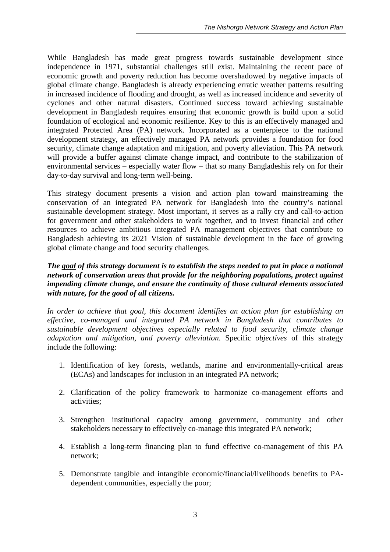While Bangladesh has made great progress towards sustainable development since independence in 1971, substantial challenges still exist. Maintaining the recent pace of economic growth and poverty reduction has become overshadowed by negative impacts of global climate change. Bangladesh is already experiencing erratic weather patterns resulting in increased incidence of flooding and drought, as well as increased incidence and severity of cyclones and other natural disasters. Continued success toward achieving sustainable development in Bangladesh requires ensuring that economic growth is build upon a solid foundation of ecological and economic resilience. Key to this is an effectively managed and integrated Protected Area (PA) network. Incorporated as a centerpiece to the national development strategy, an effectively managed PA network provides a foundation for food security, climate change adaptation and mitigation, and poverty alleviation. This PA network will provide a buffer against climate change impact, and contribute to the stabilization of environmental services – especially water flow – that so many Bangladeshis rely on for their day-to-day survival and long-term well-being.

This strategy document presents a vision and action plan toward mainstreaming the conservation of an integrated PA network for Bangladesh into the country's national sustainable development strategy. Most important, it serves as a rally cry and call-to-action for government and other stakeholders to work together, and to invest financial and other resources to achieve ambitious integrated PA management objectives that contribute to Bangladesh achieving its 2021 Vision of sustainable development in the face of growing global climate change and food security challenges.

#### *The goal of this strategy document is to establish the steps needed to put in place a national network of conservation areas that provide for the neighboring populations, protect against impending climate change, and ensure the continuity of those cultural elements associated with nature, for the good of all citizens.*

*In order to achieve that goal, this document identifies an action plan for establishing an effective, co-managed and integrated PA network in Bangladesh that contributes to sustainable development objectives especially related to food security, climate change adaptation and mitigation, and poverty alleviation*. Specific *objectives* of this strategy include the following:

- 1. Identification of key forests, wetlands, marine and environmentally-critical areas (ECAs) and landscapes for inclusion in an integrated PA network;
- 2. Clarification of the policy framework to harmonize co-management efforts and activities;
- 3. Strengthen institutional capacity among government, community and other stakeholders necessary to effectively co-manage this integrated PA network;
- 4. Establish a long-term financing plan to fund effective co-management of this PA network;
- 5. Demonstrate tangible and intangible economic/financial/livelihoods benefits to PAdependent communities, especially the poor;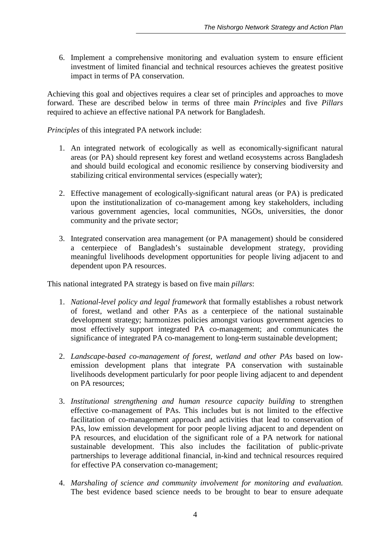6. Implement a comprehensive monitoring and evaluation system to ensure efficient investment of limited financial and technical resources achieves the greatest positive impact in terms of PA conservation.

Achieving this goal and objectives requires a clear set of principles and approaches to move forward. These are described below in terms of three main *Principles* and five *Pillars* required to achieve an effective national PA network for Bangladesh.

*Principles* of this integrated PA network include:

- 1. An integrated network of ecologically as well as economically-significant natural areas (or PA) should represent key forest and wetland ecosystems across Bangladesh and should build ecological and economic resilience by conserving biodiversity and stabilizing critical environmental services (especially water);
- 2. Effective management of ecologically-significant natural areas (or PA) is predicated upon the institutionalization of co-management among key stakeholders, including various government agencies, local communities, NGOs, universities, the donor community and the private sector;
- 3. Integrated conservation area management (or PA management) should be considered a centerpiece of Bangladesh's sustainable development strategy, providing meaningful livelihoods development opportunities for people living adjacent to and dependent upon PA resources.

This national integrated PA strategy is based on five main *pillars*:

- 1. *National-level policy and legal framework* that formally establishes a robust network of forest, wetland and other PAs as a centerpiece of the national sustainable development strategy; harmonizes policies amongst various government agencies to most effectively support integrated PA co-management; and communicates the significance of integrated PA co-management to long-term sustainable development;
- 2. *Landscape-based co-management of forest, wetland and other PAs* based on lowemission development plans that integrate PA conservation with sustainable livelihoods development particularly for poor people living adjacent to and dependent on PA resources;
- 3. *Institutional strengthening and human resource capacity building* to strengthen effective co-management of PAs. This includes but is not limited to the effective facilitation of co-management approach and activities that lead to conservation of PAs, low emission development for poor people living adjacent to and dependent on PA resources, and elucidation of the significant role of a PA network for national sustainable development. This also includes the facilitation of public-private partnerships to leverage additional financial, in-kind and technical resources required for effective PA conservation co-management;
- 4. *Marshaling of science and community involvement for monitoring and evaluation.*  The best evidence based science needs to be brought to bear to ensure adequate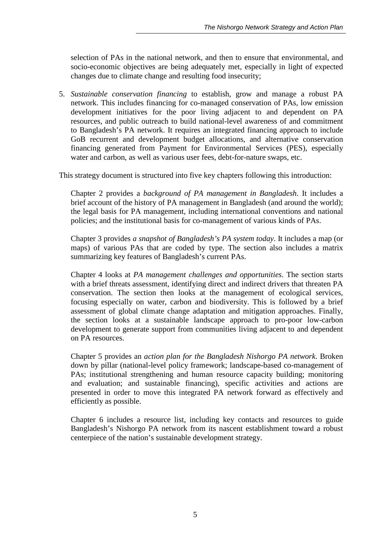selection of PAs in the national network, and then to ensure that environmental, and socio-economic objectives are being adequately met, especially in light of expected changes due to climate change and resulting food insecurity;

5. *Sustainable conservation financing* to establish, grow and manage a robust PA network. This includes financing for co-managed conservation of PAs, low emission development initiatives for the poor living adjacent to and dependent on PA resources, and public outreach to build national-level awareness of and commitment to Bangladesh's PA network. It requires an integrated financing approach to include GoB recurrent and development budget allocations, and alternative conservation financing generated from Payment for Environmental Services (PES), especially water and carbon, as well as various user fees, debt-for-nature swaps, etc.

This strategy document is structured into five key chapters following this introduction:

Chapter 2 provides a *background of PA management in Bangladesh*. It includes a brief account of the history of PA management in Bangladesh (and around the world); the legal basis for PA management, including international conventions and national policies; and the institutional basis for co-management of various kinds of PAs.

Chapter 3 provides *a snapshot of Bangladesh's PA system today*. It includes a map (or maps) of various PAs that are coded by type. The section also includes a matrix summarizing key features of Bangladesh's current PAs.

Chapter 4 looks at *PA management challenges and opportunities*. The section starts with a brief threats assessment, identifying direct and indirect drivers that threaten PA conservation. The section then looks at the management of ecological services, focusing especially on water, carbon and biodiversity. This is followed by a brief assessment of global climate change adaptation and mitigation approaches. Finally, the section looks at a sustainable landscape approach to pro-poor low-carbon development to generate support from communities living adjacent to and dependent on PA resources.

Chapter 5 provides an *action plan for the Bangladesh Nishorgo PA network*. Broken down by pillar (national-level policy framework; landscape-based co-management of PAs; institutional strengthening and human resource capacity building; monitoring and evaluation; and sustainable financing), specific activities and actions are presented in order to move this integrated PA network forward as effectively and efficiently as possible.

Chapter 6 includes a resource list, including key contacts and resources to guide Bangladesh's Nishorgo PA network from its nascent establishment toward a robust centerpiece of the nation's sustainable development strategy.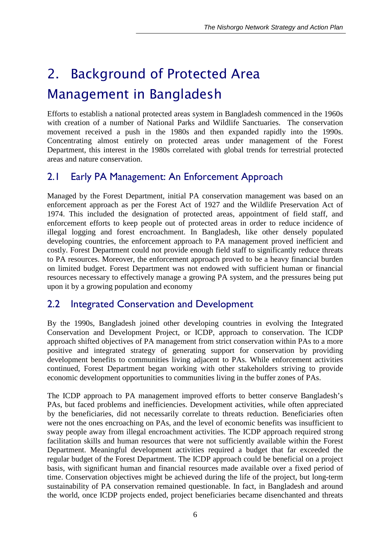# *2. Background of Protected Area Management in Bangladesh*

Efforts to establish a national protected areas system in Bangladesh commenced in the 1960s with creation of a number of National Parks and Wildlife Sanctuaries. The conservation movement received a push in the 1980s and then expanded rapidly into the 1990s. Concentrating almost entirely on protected areas under management of the Forest Department, this interest in the 1980s correlated with global trends for terrestrial protected areas and nature conservation.

## 2.1 Early PA Management: An Enforcement Approach

Managed by the Forest Department, initial PA conservation management was based on an enforcement approach as per the Forest Act of 1927 and the Wildlife Preservation Act of 1974. This included the designation of protected areas, appointment of field staff, and enforcement efforts to keep people out of protected areas in order to reduce incidence of illegal logging and forest encroachment. In Bangladesh, like other densely populated developing countries, the enforcement approach to PA management proved inefficient and costly. Forest Department could not provide enough field staff to significantly reduce threats to PA resources. Moreover, the enforcement approach proved to be a heavy financial burden on limited budget. Forest Department was not endowed with sufficient human or financial resources necessary to effectively manage a growing PA system, and the pressures being put upon it by a growing population and economy

## 2.2 Integrated Conservation and Development

By the 1990s, Bangladesh joined other developing countries in evolving the Integrated Conservation and Development Project, or ICDP, approach to conservation. The ICDP approach shifted objectives of PA management from strict conservation within PAs to a more positive and integrated strategy of generating support for conservation by providing development benefits to communities living adjacent to PAs. While enforcement activities continued, Forest Department began working with other stakeholders striving to provide economic development opportunities to communities living in the buffer zones of PAs.

The ICDP approach to PA management improved efforts to better conserve Bangladesh's PAs, but faced problems and inefficiencies. Development activities, while often appreciated by the beneficiaries, did not necessarily correlate to threats reduction. Beneficiaries often were not the ones encroaching on PAs, and the level of economic benefits was insufficient to sway people away from illegal encroachment activities. The ICDP approach required strong facilitation skills and human resources that were not sufficiently available within the Forest Department. Meaningful development activities required a budget that far exceeded the regular budget of the Forest Department. The ICDP approach could be beneficial on a project basis, with significant human and financial resources made available over a fixed period of time. Conservation objectives might be achieved during the life of the project, but long-term sustainability of PA conservation remained questionable. In fact, in Bangladesh and around the world, once ICDP projects ended, project beneficiaries became disenchanted and threats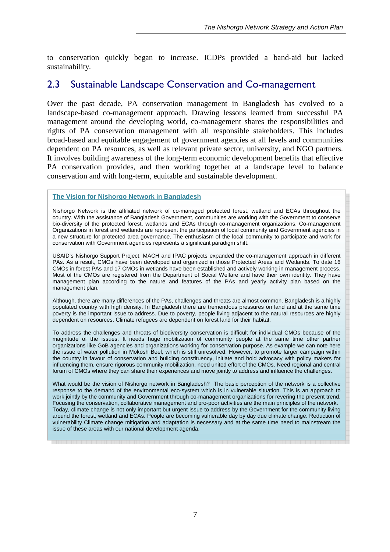to conservation quickly began to increase. ICDPs provided a band-aid but lacked sustainability.

#### 2.3 Sustainable Landscape Conservation and Co-management

Over the past decade, PA conservation management in Bangladesh has evolved to a landscape-based co-management approach. Drawing lessons learned from successful PA management around the developing world, co-management shares the responsibilities and rights of PA conservation management with all responsible stakeholders. This includes broad-based and equitable engagement of government agencies at all levels and communities dependent on PA resources, as well as relevant private sector, university, and NGO partners. It involves building awareness of the long-term economic development benefits that effective PA conservation provides, and then working together at a landscape level to balance conservation and with long-term, equitable and sustainable development.

**The Vision for Nishorgo Network in Bangladesh**

Nishorgo Network is the affiliated network of co-managed protected forest, wetland and ECAs throughout the country. With the assistance of Bangladesh Government, communities are working with the Government to conserve bio-diversity of the protected forest, wetlands and ECAs through co-management organizations. Co-management Organizations in forest and wetlands are represent the participation of local community and Government agencies in a new structure for protected area governance. The enthusiasm of the local community to participate and work for conservation with Government agencies represents a significant paradigm shift.

USAID's Nishorgo Support Project, MACH and IPAC projects expanded the co-management approach in different PAs. As a result, CMOs have been developed and organized in those Protected Areas and Wetlands. To date 16 CMOs in forest PAs and 17 CMOs in wetlands have been established and actively working in management process. Most of the CMOs are registered from the Department of Social Welfare and have their own identity. They have management plan according to the nature and features of the PAs and yearly activity plan based on the management plan.

Although, there are many differences of the PAs, challenges and threats are almost common. Bangladesh is a highly populated country with high density. In Bangladesh there are tremendous pressures on land and at the same time poverty is the important issue to address. Due to poverty, people living adjacent to the natural resources are highly dependent on resources. Climate refugees are dependent on forest land for their habitat.

To address the challenges and threats of biodiversity conservation is difficult for individual CMOs because of the magnitude of the issues. It needs huge mobilization of community people at the same time other partner organizations like GoB agencies and organizations working for conservation purpose. As example we can note here the issue of water pollution in Mokosh Beel, which is still unresolved. However, to promote larger campaign within the country in favour of conservation and building constituency, initiate and hold advocacy with policy makers for influencing them, ensure rigorous community mobilization, need united effort of the CMOs. Need regional and central forum of CMOs where they can share their experiences and move jointly to address and influence the challenges.

What would be the vision of Nishorgo network in Bangladesh? The basic perception of the network is a collective response to the demand of the environmental eco-system which is in vulnerable situation. This is an approach to work jointly by the community and Government through co-management organizations for revering the present trend. Focusing the conservation, collaborative management and pro-poor activities are the main principles of the network. Today, climate change is not only important but urgent issue to address by the Government for the community living around the forest, wetland and ECAs. People are becoming vulnerable day by day due climate change. Reduction of vulnerability Climate change mitigation and adaptation is necessary and at the same time need to mainstream the issue of these areas with our national development agenda.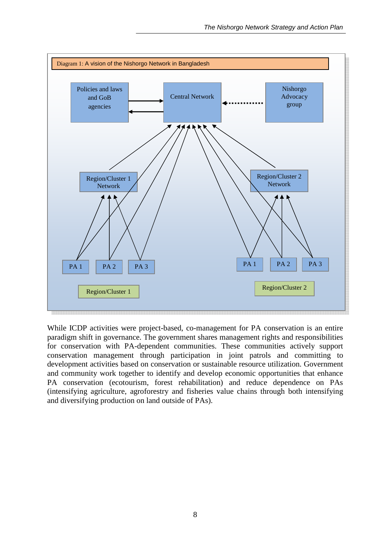

While ICDP activities were project-based, co-management for PA conservation is an entire paradigm shift in governance. The government shares management rights and responsibilities for conservation with PA-dependent communities. These communities actively support conservation management through participation in joint patrols and committing to development activities based on conservation or sustainable resource utilization. Government and community work together to identify and develop economic opportunities that enhance PA conservation (ecotourism, forest rehabilitation) and reduce dependence on PAs (intensifying agriculture, agroforestry and fisheries value chains through both intensifying and diversifying production on land outside of PAs).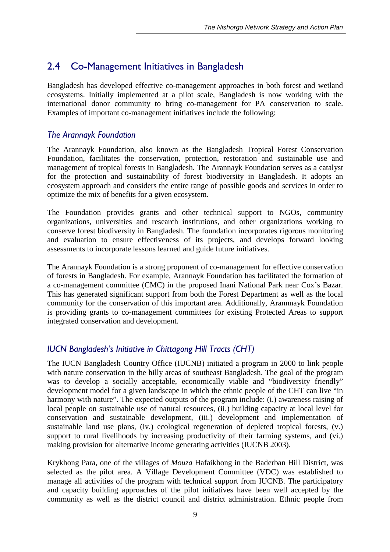## 2.4 Co-Management Initiatives in Bangladesh

Bangladesh has developed effective co-management approaches in both forest and wetland ecosystems. Initially implemented at a pilot scale, Bangladesh is now working with the international donor community to bring co-management for PA conservation to scale. Examples of important co-management initiatives include the following:

#### *The Arannayk Foundation*

The Arannayk Foundation, also known as the Bangladesh Tropical Forest Conservation Foundation, facilitates the conservation, protection, restoration and sustainable use and management of tropical forests in Bangladesh. The Arannayk Foundation serves as a catalyst for the protection and sustainability of forest biodiversity in Bangladesh. It adopts an ecosystem approach and considers the entire range of possible goods and services in order to optimize the mix of benefits for a given ecosystem.

The Foundation provides grants and other technical support to NGOs, community organizations, universities and research institutions, and other organizations working to conserve forest biodiversity in Bangladesh. The foundation incorporates rigorous monitoring and evaluation to ensure effectiveness of its projects, and develops forward looking assessments to incorporate lessons learned and guide future initiatives.

The Arannayk Foundation is a strong proponent of co-management for effective conservation of forests in Bangladesh. For example, Arannayk Foundation has facilitated the formation of a co-management committee (CMC) in the proposed Inani National Park near Cox's Bazar. This has generated significant support from both the Forest Department as well as the local community for the conservation of this important area. Additionally, Arannnayk Foundation is providing grants to co-management committees for existing Protected Areas to support integrated conservation and development.

#### *IUCN Bangladesh's Initiative in Chittagong Hill Tracts (CHT)*

The IUCN Bangladesh Country Office (IUCNB) initiated a program in 2000 to link people with nature conservation in the hilly areas of southeast Bangladesh. The goal of the program was to develop a socially acceptable, economically viable and "biodiversity friendly" development model for a given landscape in which the ethnic people of the CHT can live "in harmony with nature". The expected outputs of the program include: (i.) awareness raising of local people on sustainable use of natural resources, (ii.) building capacity at local level for conservation and sustainable development, (iii.) development and implementation of sustainable land use plans, (iv.) ecological regeneration of depleted tropical forests, (v.) support to rural livelihoods by increasing productivity of their farming systems, and (vi.) making provision for alternative income generating activities (IUCNB 2003).

Krykhong Para, one of the villages of *Mouza* Hafaikhong in the Baderban Hill District, was selected as the pilot area. A Village Development Committee (VDC) was established to manage all activities of the program with technical support from IUCNB. The participatory and capacity building approaches of the pilot initiatives have been well accepted by the community as well as the district council and district administration. Ethnic people from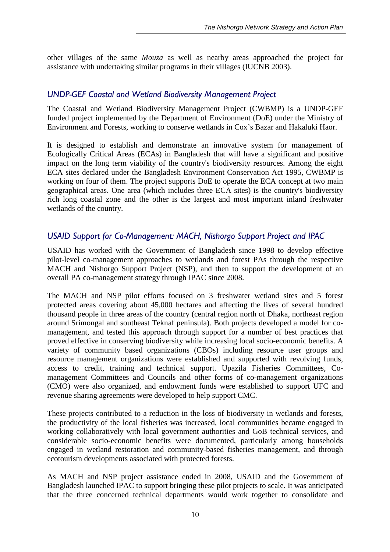other villages of the same *Mouza* as well as nearby areas approached the project for assistance with undertaking similar programs in their villages (IUCNB 2003).

#### *UNDP-GEF Coastal and Wetland Biodiversity Management Project*

The Coastal and Wetland Biodiversity Management Project (CWBMP) is a UNDP-GEF funded project implemented by the Department of Environment (DoE) under the Ministry of Environment and Forests, working to conserve wetlands in Cox's Bazar and Hakaluki Haor.

It is designed to establish and demonstrate an innovative system for management of Ecologically Critical Areas (ECAs) in Bangladesh that will have a significant and positive impact on the long term viability of the country's biodiversity resources. Among the eight ECA sites declared under the Bangladesh Environment Conservation Act 1995, CWBMP is working on four of them. The project supports DoE to operate the ECA concept at two main geographical areas. One area (which includes three ECA sites) is the country's biodiversity rich long coastal zone and the other is the largest and most important inland freshwater wetlands of the country.

#### *USAID Support for Co-Management: MACH, Nishorgo Support Project and IPAC*

USAID has worked with the Government of Bangladesh since 1998 to develop effective pilot-level co-management approaches to wetlands and forest PAs through the respective MACH and Nishorgo Support Project (NSP), and then to support the development of an overall PA co-management strategy through IPAC since 2008.

The MACH and NSP pilot efforts focused on 3 freshwater wetland sites and 5 forest protected areas covering about 45,000 hectares and affecting the lives of several hundred thousand people in three areas of the country (central region north of Dhaka, northeast region around Srimongal and southeast Teknaf peninsula). Both projects developed a model for comanagement, and tested this approach through support for a number of best practices that proved effective in conserving biodiversity while increasing local socio-economic benefits. A variety of community based organizations (CBOs) including resource user groups and resource management organizations were established and supported with revolving funds, access to credit, training and technical support. Upazila Fisheries Committees, Comanagement Committees and Councils and other forms of co-management organizations (CMO) were also organized, and endowment funds were established to support UFC and revenue sharing agreements were developed to help support CMC.

These projects contributed to a reduction in the loss of biodiversity in wetlands and forests, the productivity of the local fisheries was increased, local communities became engaged in working collaboratively with local government authorities and GoB technical services, and considerable socio-economic benefits were documented, particularly among households engaged in wetland restoration and community-based fisheries management, and through ecotourism developments associated with protected forests.

As MACH and NSP project assistance ended in 2008, USAID and the Government of Bangladesh launched IPAC to support bringing these pilot projects to scale. It was anticipated that the three concerned technical departments would work together to consolidate and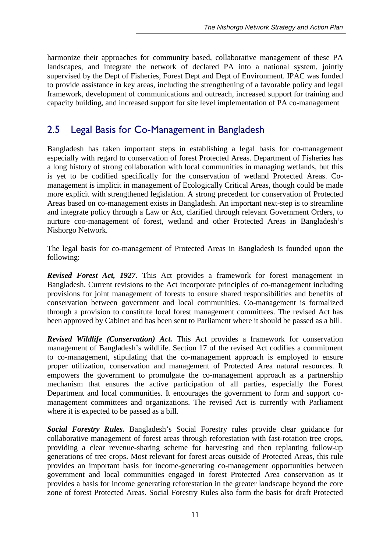harmonize their approaches for community based, collaborative management of these PA landscapes, and integrate the network of declared PA into a national system, jointly supervised by the Dept of Fisheries, Forest Dept and Dept of Environment. IPAC was funded to provide assistance in key areas, including the strengthening of a favorable policy and legal framework, development of communications and outreach, increased support for training and capacity building, and increased support for site level implementation of PA co-management

## 2.5 Legal Basis for Co-Management in Bangladesh

Bangladesh has taken important steps in establishing a legal basis for co-management especially with regard to conservation of forest Protected Areas. Department of Fisheries has a long history of strong collaboration with local communities in managing wetlands, but this is yet to be codified specifically for the conservation of wetland Protected Areas. Comanagement is implicit in management of Ecologically Critical Areas, though could be made more explicit with strengthened legislation. A strong precedent for conservation of Protected Areas based on co-management exists in Bangladesh. An important next-step is to streamline and integrate policy through a Law or Act, clarified through relevant Government Orders, to nurture coo-management of forest, wetland and other Protected Areas in Bangladesh's Nishorgo Network.

The legal basis for co-management of Protected Areas in Bangladesh is founded upon the following:

*Revised Forest Act, 1927*. This Act provides a framework for forest management in Bangladesh. Current revisions to the Act incorporate principles of co-management including provisions for joint management of forests to ensure shared responsibilities and benefits of conservation between government and local communities. Co-management is formalized through a provision to constitute local forest management committees. The revised Act has been approved by Cabinet and has been sent to Parliament where it should be passed as a bill.

*Revised Wildlife (Conservation) Act.* This Act provides a framework for conservation management of Bangladesh's wildlife. Section 17 of the revised Act codifies a commitment to co-management, stipulating that the co-management approach is employed to ensure proper utilization, conservation and management of Protected Area natural resources. It empowers the government to promulgate the co-management approach as a partnership mechanism that ensures the active participation of all parties, especially the Forest Department and local communities. It encourages the government to form and support comanagement committees and organizations. The revised Act is currently with Parliament where it is expected to be passed as a bill.

*Social Forestry Rules.* Bangladesh's Social Forestry rules provide clear guidance for collaborative management of forest areas through reforestation with fast-rotation tree crops, providing a clear revenue-sharing scheme for harvesting and then replanting follow-up generations of tree crops. Most relevant for forest areas outside of Protected Areas, this rule provides an important basis for income-generating co-management opportunities between government and local communities engaged in forest Protected Area conservation as it provides a basis for income generating reforestation in the greater landscape beyond the core zone of forest Protected Areas. Social Forestry Rules also form the basis for draft Protected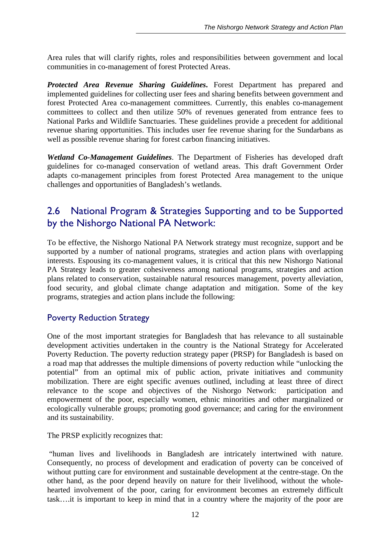Area rules that will clarify rights, roles and responsibilities between government and local communities in co-management of forest Protected Areas.

*Protected Area Revenue Sharing Guidelines***.** Forest Department has prepared and implemented guidelines for collecting user fees and sharing benefits between government and forest Protected Area co-management committees. Currently, this enables co-management committees to collect and then utilize 50% of revenues generated from entrance fees to National Parks and Wildlife Sanctuaries. These guidelines provide a precedent for additional revenue sharing opportunities. This includes user fee revenue sharing for the Sundarbans as well as possible revenue sharing for forest carbon financing initiatives.

*Wetland Co-Management Guidelines*. The Department of Fisheries has developed draft guidelines for co-managed conservation of wetland areas. This draft Government Order adapts co-management principles from forest Protected Area management to the unique challenges and opportunities of Bangladesh's wetlands.

## 2.6 National Program & Strategies Supporting and to be Supported by the Nishorgo National PA Network:

To be effective, the Nishorgo National PA Network strategy must recognize, support and be supported by a number of national programs, strategies and action plans with overlapping interests. Espousing its co-management values, it is critical that this new Nishorgo National PA Strategy leads to greater cohesiveness among national programs, strategies and action plans related to conservation, sustainable natural resources management, poverty alleviation, food security, and global climate change adaptation and mitigation. Some of the key programs, strategies and action plans include the following:

#### Poverty Reduction Strategy

One of the most important strategies for Bangladesh that has relevance to all sustainable development activities undertaken in the country is the National Strategy for Accelerated Poverty Reduction. The poverty reduction strategy paper (PRSP) for Bangladesh is based on a road map that addresses the multiple dimensions of poverty reduction while "unlocking the potential" from an optimal mix of public action, private initiatives and community mobilization. There are eight specific avenues outlined, including at least three of direct relevance to the scope and objectives of the Nishorgo Network: participation and empowerment of the poor, especially women, ethnic minorities and other marginalized or ecologically vulnerable groups; promoting good governance; and caring for the environment and its sustainability.

The PRSP explicitly recognizes that:

 "human lives and livelihoods in Bangladesh are intricately intertwined with nature. Consequently, no process of development and eradication of poverty can be conceived of without putting care for environment and sustainable development at the centre-stage. On the other hand, as the poor depend heavily on nature for their livelihood, without the wholehearted involvement of the poor, caring for environment becomes an extremely difficult task….it is important to keep in mind that in a country where the majority of the poor are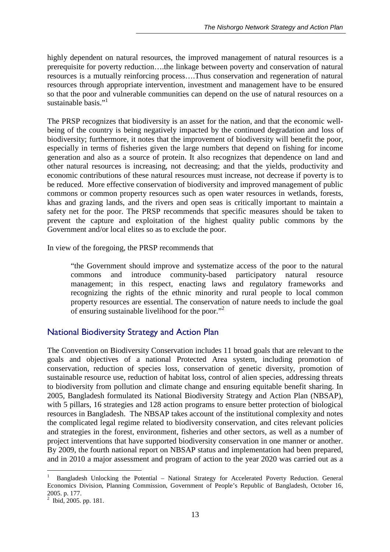highly dependent on natural resources, the improved management of natural resources is a prerequisite for poverty reduction….the linkage between poverty and conservation of natural resources is a mutually reinforcing process….Thus conservation and regeneration of natural resources through appropriate intervention, investment and management have to be ensured so that the poor and vulnerable communities can depend on the use of natural resources on a sustainable basis."<sup>1</sup>

The PRSP recognizes that biodiversity is an asset for the nation, and that the economic wellbeing of the country is being negatively impacted by the continued degradation and loss of biodiversity; furthermore, it notes that the improvement of biodiversity will benefit the poor, especially in terms of fisheries given the large numbers that depend on fishing for income generation and also as a source of protein. It also recognizes that dependence on land and other natural resources is increasing, not decreasing; and that the yields, productivity and economic contributions of these natural resources must increase, not decrease if poverty is to be reduced. More effective conservation of biodiversity and improved management of public commons or common property resources such as open water resources in wetlands, forests, khas and grazing lands, and the rivers and open seas is critically important to maintain a safety net for the poor. The PRSP recommends that specific measures should be taken to prevent the capture and exploitation of the highest quality public commons by the Government and/or local elites so as to exclude the poor.

In view of the foregoing, the PRSP recommends that

"the Government should improve and systematize access of the poor to the natural commons and introduce community-based participatory natural resource management; in this respect, enacting laws and regulatory frameworks and recognizing the rights of the ethnic minority and rural people to local common property resources are essential. The conservation of nature needs to include the goal of ensuring sustainable livelihood for the poor."

#### National Biodiversity Strategy and Action Plan

The Convention on Biodiversity Conservation includes 11 broad goals that are relevant to the goals and objectives of a national Protected Area system, including promotion of conservation, reduction of species loss, conservation of genetic diversity, promotion of sustainable resource use, reduction of habitat loss, control of alien species, addressing threats to biodiversity from pollution and climate change and ensuring equitable benefit sharing. In 2005, Bangladesh formulated its National Biodiversity Strategy and Action Plan (NBSAP), with 5 pillars, 16 strategies and 128 action programs to ensure better protection of biological resources in Bangladesh. The NBSAP takes account of the institutional complexity and notes the complicated legal regime related to biodiversity conservation, and cites relevant policies and strategies in the forest, environment, fisheries and other sectors, as well as a number of project interventions that have supported biodiversity conservation in one manner or another. By 2009, the fourth national report on NBSAP status and implementation had been prepared, and in 2010 a major assessment and program of action to the year 2020 was carried out as a

 $\overline{a}$ 

<sup>1</sup> Bangladesh Unlocking the Potential – National Strategy for Accelerated Poverty Reduction. General Economics Division, Planning Commission, Government of People's Republic of Bangladesh, October 16, 2005. p. 177.

 $2$  Ibid, 2005. pp. 181.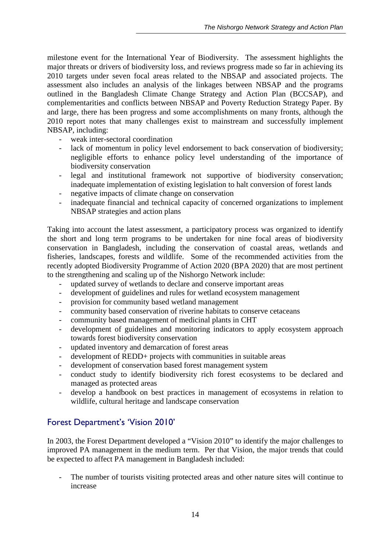milestone event for the International Year of Biodiversity. The assessment highlights the major threats or drivers of biodiversity loss, and reviews progress made so far in achieving its 2010 targets under seven focal areas related to the NBSAP and associated projects. The assessment also includes an analysis of the linkages between NBSAP and the programs outlined in the Bangladesh Climate Change Strategy and Action Plan (BCCSAP), and complementarities and conflicts between NBSAP and Poverty Reduction Strategy Paper. By and large, there has been progress and some accomplishments on many fronts, although the 2010 report notes that many challenges exist to mainstream and successfully implement NBSAP, including:

- weak inter-sectoral coordination
- lack of momentum in policy level endorsement to back conservation of biodiversity; negligible efforts to enhance policy level understanding of the importance of biodiversity conservation
- legal and institutional framework not supportive of biodiversity conservation; inadequate implementation of existing legislation to halt conversion of forest lands
- negative impacts of climate change on conservation
- inadequate financial and technical capacity of concerned organizations to implement NBSAP strategies and action plans

Taking into account the latest assessment, a participatory process was organized to identify the short and long term programs to be undertaken for nine focal areas of biodiversity conservation in Bangladesh, including the conservation of coastal areas, wetlands and fisheries, landscapes, forests and wildlife. Some of the recommended activities from the recently adopted Biodiversity Programme of Action 2020 (BPA 2020) that are most pertinent to the strengthening and scaling up of the Nishorgo Network include:

- updated survey of wetlands to declare and conserve important areas
- development of guidelines and rules for wetland ecosystem management
- provision for community based wetland management
- community based conservation of riverine habitats to conserve cetaceans
- community based management of medicinal plants in CHT
- development of guidelines and monitoring indicators to apply ecosystem approach towards forest biodiversity conservation
- updated inventory and demarcation of forest areas
- development of REDD+ projects with communities in suitable areas
- development of conservation based forest management system
- conduct study to identify biodiversity rich forest ecosystems to be declared and managed as protected areas
- develop a handbook on best practices in management of ecosystems in relation to wildlife, cultural heritage and landscape conservation

#### Forest Department's 'Vision 2010'

In 2003, the Forest Department developed a "Vision 2010" to identify the major challenges to improved PA management in the medium term. Per that Vision, the major trends that could be expected to affect PA management in Bangladesh included:

The number of tourists visiting protected areas and other nature sites will continue to increase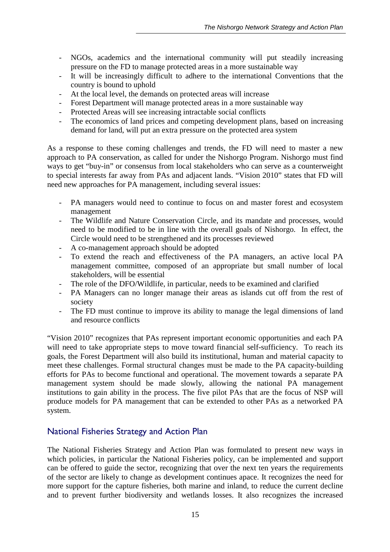- NGOs, academics and the international community will put steadily increasing pressure on the FD to manage protected areas in a more sustainable way
- It will be increasingly difficult to adhere to the international Conventions that the country is bound to uphold
- At the local level, the demands on protected areas will increase
- Forest Department will manage protected areas in a more sustainable way
- Protected Areas will see increasing intractable social conflicts
- The economics of land prices and competing development plans*,* based on increasing demand for land, will put an extra pressure on the protected area system

As a response to these coming challenges and trends, the FD will need to master a new approach to PA conservation, as called for under the Nishorgo Program. Nishorgo must find ways to get "buy-in" or consensus from local stakeholders who can serve as a counterweight to special interests far away from PAs and adjacent lands. "Vision 2010" states that FD will need new approaches for PA management, including several issues:

- PA managers would need to continue to focus on and master forest and ecosystem management
- The Wildlife and Nature Conservation Circle, and its mandate and processes, would need to be modified to be in line with the overall goals of Nishorgo. In effect, the Circle would need to be strengthened and its processes reviewed
- A co-management approach should be adopted
- To extend the reach and effectiveness of the PA managers, an active local PA management committee, composed of an appropriate but small number of local stakeholders, will be essential
- The role of the DFO/Wildlife, in particular, needs to be examined and clarified
- PA Managers can no longer manage their areas as islands cut off from the rest of society
- The FD must continue to improve its ability to manage the legal dimensions of land and resource conflicts

"Vision 2010" recognizes that PAs represent important economic opportunities and each PA will need to take appropriate steps to move toward financial self-sufficiency. To reach its goals, the Forest Department will also build its institutional, human and material capacity to meet these challenges. Formal structural changes must be made to the PA capacity-building efforts for PAs to become functional and operational. The movement towards a separate PA management system should be made slowly, allowing the national PA management institutions to gain ability in the process. The five pilot PAs that are the focus of NSP will produce models for PA management that can be extended to other PAs as a networked PA system.

#### National Fisheries Strategy and Action Plan

The National Fisheries Strategy and Action Plan was formulated to present new ways in which policies, in particular the National Fisheries policy, can be implemented and support can be offered to guide the sector, recognizing that over the next ten years the requirements of the sector are likely to change as development continues apace. It recognizes the need for more support for the capture fisheries, both marine and inland, to reduce the current decline and to prevent further biodiversity and wetlands losses. It also recognizes the increased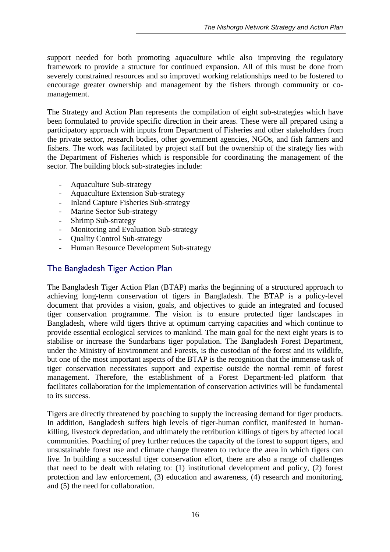support needed for both promoting aquaculture while also improving the regulatory framework to provide a structure for continued expansion. All of this must be done from severely constrained resources and so improved working relationships need to be fostered to encourage greater ownership and management by the fishers through community or comanagement.

The Strategy and Action Plan represents the compilation of eight sub-strategies which have been formulated to provide specific direction in their areas. These were all prepared using a participatory approach with inputs from Department of Fisheries and other stakeholders from the private sector, research bodies, other government agencies, NGOs, and fish farmers and fishers. The work was facilitated by project staff but the ownership of the strategy lies with the Department of Fisheries which is responsible for coordinating the management of the sector. The building block sub-strategies include:

- Aquaculture Sub-strategy
- Aquaculture Extension Sub-strategy
- Inland Capture Fisheries Sub-strategy
- Marine Sector Sub-strategy
- Shrimp Sub-strategy
- Monitoring and Evaluation Sub-strategy
- Quality Control Sub-strategy
- Human Resource Development Sub-strategy

#### The Bangladesh Tiger Action Plan

The Bangladesh Tiger Action Plan (BTAP) marks the beginning of a structured approach to achieving long-term conservation of tigers in Bangladesh. The BTAP is a policy-level document that provides a vision, goals, and objectives to guide an integrated and focused tiger conservation programme. The vision is to ensure protected tiger landscapes in Bangladesh, where wild tigers thrive at optimum carrying capacities and which continue to provide essential ecological services to mankind. The main goal for the next eight years is to stabilise or increase the Sundarbans tiger population. The Bangladesh Forest Department, under the Ministry of Environment and Forests, is the custodian of the forest and its wildlife, but one of the most important aspects of the BTAP is the recognition that the immense task of tiger conservation necessitates support and expertise outside the normal remit of forest management. Therefore, the establishment of a Forest Department-led platform that facilitates collaboration for the implementation of conservation activities will be fundamental to its success.

Tigers are directly threatened by poaching to supply the increasing demand for tiger products. In addition, Bangladesh suffers high levels of tiger-human conflict, manifested in humankilling, livestock depredation, and ultimately the retribution killings of tigers by affected local communities. Poaching of prey further reduces the capacity of the forest to support tigers, and unsustainable forest use and climate change threaten to reduce the area in which tigers can live. In building a successful tiger conservation effort, there are also a range of challenges that need to be dealt with relating to: (1) institutional development and policy, (2) forest protection and law enforcement, (3) education and awareness, (4) research and monitoring, and (5) the need for collaboration.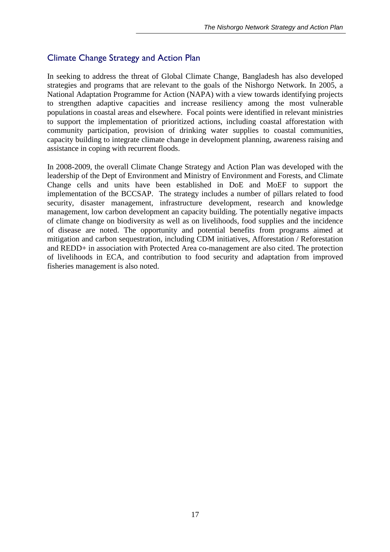#### Climate Change Strategy and Action Plan

In seeking to address the threat of Global Climate Change, Bangladesh has also developed strategies and programs that are relevant to the goals of the Nishorgo Network. In 2005, a National Adaptation Programme for Action (NAPA) with a view towards identifying projects to strengthen adaptive capacities and increase resiliency among the most vulnerable populations in coastal areas and elsewhere. Focal points were identified in relevant ministries to support the implementation of prioritized actions, including coastal afforestation with community participation, provision of drinking water supplies to coastal communities, capacity building to integrate climate change in development planning, awareness raising and assistance in coping with recurrent floods.

In 2008-2009, the overall Climate Change Strategy and Action Plan was developed with the leadership of the Dept of Environment and Ministry of Environment and Forests, and Climate Change cells and units have been established in DoE and MoEF to support the implementation of the BCCSAP. The strategy includes a number of pillars related to food security, disaster management, infrastructure development, research and knowledge management, low carbon development an capacity building. The potentially negative impacts of climate change on biodiversity as well as on livelihoods, food supplies and the incidence of disease are noted. The opportunity and potential benefits from programs aimed at mitigation and carbon sequestration, including CDM initiatives, Afforestation / Reforestation and REDD+ in association with Protected Area co-management are also cited. The protection of livelihoods in ECA, and contribution to food security and adaptation from improved fisheries management is also noted.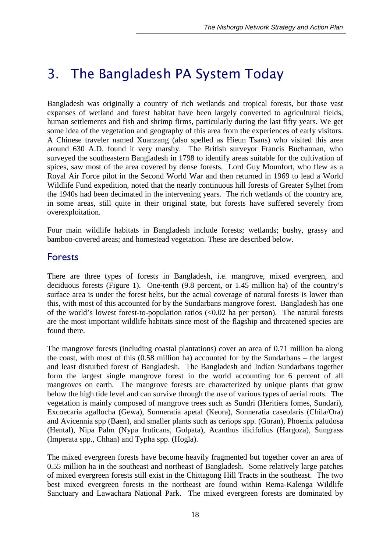## *3. The Bangladesh PA System Today*

Bangladesh was originally a country of rich wetlands and tropical forests, but those vast expanses of wetland and forest habitat have been largely converted to agricultural fields, human settlements and fish and shrimp firms, particularly during the last fifty years. We get some idea of the vegetation and geography of this area from the experiences of early visitors. A Chinese traveler named Xuanzang (also spelled as Hieun Tsans) who visited this area around 630 A.D. found it very marshy. The British surveyor Francis Buchannan, who surveyed the southeastern Bangladesh in 1798 to identify areas suitable for the cultivation of spices, saw most of the area covered by dense forests. Lord Guy Mounfort, who flew as a Royal Air Force pilot in the Second World War and then returned in 1969 to lead a World Wildlife Fund expedition, noted that the nearly continuous hill forests of Greater Sylhet from the 1940s had been decimated in the intervening years. The rich wetlands of the country are, in some areas, still quite in their original state, but forests have suffered severely from overexploitation.

Four main wildlife habitats in Bangladesh include forests; wetlands; bushy, grassy and bamboo-covered areas; and homestead vegetation. These are described below.

#### Forests

There are three types of forests in Bangladesh, i.e. mangrove, mixed evergreen, and deciduous forests (Figure 1). One-tenth (9.8 percent, or 1.45 million ha) of the country's surface area is under the forest belts, but the actual coverage of natural forests is lower than this, with most of this accounted for by the Sundarbans mangrove forest. Bangladesh has one of the world's lowest forest-to-population ratios  $\langle 0.02 \rangle$  has per person). The natural forests are the most important wildlife habitats since most of the flagship and threatened species are found there.

The mangrove forests (including coastal plantations) cover an area of 0.71 million ha along the coast, with most of this (0.58 million ha) accounted for by the Sundarbans – the largest and least disturbed forest of Bangladesh. The Bangladesh and Indian Sundarbans together form the largest single mangrove forest in the world accounting for 6 percent of all mangroves on earth. The mangrove forests are characterized by unique plants that grow below the high tide level and can survive through the use of various types of aerial roots. The vegetation is mainly composed of mangrove trees such as Sundri (Heritiera fomes, Sundari), Excoecaria agallocha (Gewa), Sonneratia apetal (Keora), Sonneratia caseolaris (Chila/Ora) and Avicennia spp (Baen), and smaller plants such as ceriops spp. (Goran), Phoenix paludosa (Hental), Nipa Palm (Nypa fruticans, Golpata), Acanthus ilicifolius (Hargoza), Sungrass (Imperata spp., Chhan) and Typha spp. (Hogla).

The mixed evergreen forests have become heavily fragmented but together cover an area of 0.55 million ha in the southeast and northeast of Bangladesh. Some relatively large patches of mixed evergreen forests still exist in the Chittagong Hill Tracts in the southeast. The two best mixed evergreen forests in the northeast are found within Rema-Kalenga Wildlife Sanctuary and Lawachara National Park. The mixed evergreen forests are dominated by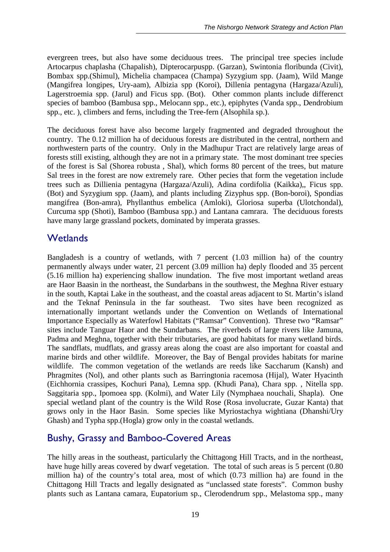evergreen trees, but also have some deciduous trees. The principal tree species include Artocarpus chaplasha (Chapalish), Dipterocarpuspp. (Garzan), Swintonia floribunda (Civit), Bombax spp.(Shimul), Michelia champacea (Champa) Syzygium spp. (Jaam), Wild Mange (Mangifrea longipes, Ury-aam), Albizia spp (Koroi), Dillenia pentagyna (Hargaza/Azuli), Lagerstroemia spp. (Jarul) and Ficus spp. (Bot). Other common plants include differenct species of bamboo (Bambusa spp., Melocann spp., etc.), epiphytes (Vanda spp., Dendrobium spp., etc. ), climbers and ferns, including the Tree-fern (Alsophila sp.).

The deciduous forest have also become largely fragmented and degraded throughout the country. The 0.12 million ha of deciduous forests are distributed in the central, northern and northwestern parts of the country. Only in the Madhupur Tract are relatively large areas of forests still existing, although they are not in a primary state. The most dominant tree species of the forest is Sal (Shorea robusta , Shal), which forms 80 percent of the trees, but mature Sal trees in the forest are now extremely rare. Other pecies that form the vegetation include trees such as Dillienia pentagyna (Hargaza/Azuli), Adina cordifolia (Kaikka),, Ficus spp. (Bot) and Syzygium spp. (Jaam), and plants including Zizyphus spp. (Bon-boroi), Spondias mangifrea (Bon-amra), Phyllanthus embelica (Amloki), Gloriosa superba (Ulotchondal), Curcuma spp (Shoti), Bamboo (Bambusa spp.) and Lantana camrara. The deciduous forests have many large grassland pockets, dominated by imperata grasses.

#### **Wetlands**

Bangladesh is a country of wetlands, with 7 percent (1.03 million ha) of the country permanently always under water, 21 percent (3.09 million ha) deply flooded and 35 percent (5.16 million ha) experiencing shallow inundation. The five most important wetland areas are Haor Baasin in the northeast, the Sundarbans in the southwest, the Meghna River estuary in the south, Kaptai Lake in the southeast, and the coastal areas adjacent to St. Martin's island and the Teknaf Peninsula in the far southeast. Two sites have been recognized as internationally important wetlands under the Convention on Wetlands of International Importance Especially as Waterfowl Habitats ("Ramsar" Convention). Threse two "Ramsar" sites include Tanguar Haor and the Sundarbans. The riverbeds of large rivers like Jamuna, Padma and Meghna, together with their tributaries, are good habitats for many wetland birds. The sandflats, mudflats, and grassy areas along the coast are also important for coastal and marine birds and other wildlife. Moreover, the Bay of Bengal provides habitats for marine wildlife. The common vegetation of the wetlands are reeds like Saccharum (Kansh) and Phragmites (Nol), and other plants such as Barringtonia racemosa (Hijal), Water Hyacinth (Eichhornia crassipes, Kochuri Pana), Lemna spp. (Khudi Pana), Chara spp. , Nitella spp. Saggitaria spp., Ipomoea spp. (Kolmi), and Water Lily (Nymphaea nouchali, Shapla). One special wetland plant of the country is the Wild Rose (Rosa involucrate, Guzar Kanta) that grows only in the Haor Basin. Some species like Myriostachya wightiana (Dhanshi/Ury Ghash) and Typha spp.(Hogla) grow only in the coastal wetlands.

### Bushy, Grassy and Bamboo-Covered Areas

The hilly areas in the southeast, particularly the Chittagong Hill Tracts, and in the northeast, have huge hilly areas covered by dwarf vegetation. The total of such areas is 5 percent (0.80 million ha) of the country's total area, most of which (0.73 million ha) are found in the Chittagong Hill Tracts and legally designated as "unclassed state forests". Common bushy plants such as Lantana camara, Eupatorium sp., Clerodendrum spp., Melastoma spp., many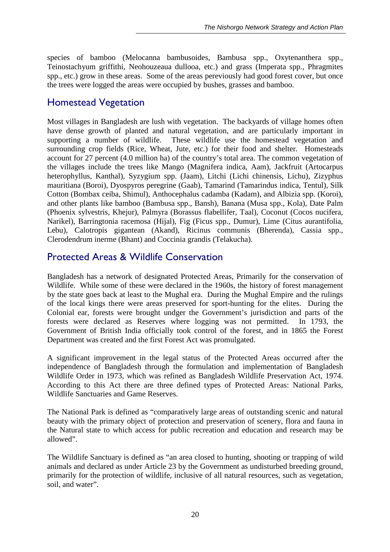species of bamboo (Melocanna bambusoides, Bambusa spp., Oxytenanthera spp., Teinostachyum griffithi, Neohouzeaua dullooa, etc.) and grass (Imperata spp., Phragmites spp., etc.) grow in these areas. Some of the areas pereviously had good forest cover, but once the trees were logged the areas were occupied by bushes, grasses and bamboo.

### Homestead Vegetation

Most villages in Bangladesh are lush with vegetation. The backyards of village homes often have dense growth of planted and natural vegetation, and are particularly important in supporting a number of wildlife. These wildlife use the homestead vegetation and surrounding crop fields (Rice, Wheat, Jute, etc.) for their food and shelter. Homesteads account for 27 percent (4.0 million ha) of the country's total area. The common vegetation of the villages include the trees like Mango (Magnifera indica, Aam), Jackfruit (Artocarpus heterophyllus, Kanthal), Syzygium spp. (Jaam), Litchi (Lichi chinensis, Lichu), Zizyphus mauritiana (Boroi), Dyospyros peregrine (Gaab), Tamarind (Tamarindus indica, Tentul), Silk Cotton (Bombax ceiba, Shimul), Anthocephalus cadamba (Kadam), and Albizia spp. (Koroi), and other plants like bamboo (Bambusa spp., Bansh), Banana (Musa spp., Kola), Date Palm (Phoenix sylvestris, Khejur), Palmyra (Borassus flabellifer, Taal), Coconut (Cocos nucifera, Narikel), Barringtonia racemosa (Hijal), Fig (Ficus spp., Dumur), Lime (Citus aurantifolia, Lebu), Calotropis gigantean (Akand), Ricinus communis (Bherenda), Cassia spp., Clerodendrum inerme (Bhant) and Coccinia grandis (Telakucha).

### Protected Areas & Wildlife Conservation

Bangladesh has a network of designated Protected Areas, Primarily for the conservation of Wildlife. While some of these were declared in the 1960s, the history of forest management by the state goes back at least to the Mughal era. During the Mughal Empire and the rulings of the local kings there were areas preserved for sport-hunting for the elites. During the Colonial ear, forests were brought undger the Government's jurisdiction and parts of the forests were declared as Reserves where logging was not permitted. In 1793, the Government of British India officially took control of the forest, and in 1865 the Forest Department was created and the first Forest Act was promulgated.

A significant improvement in the legal status of the Protected Areas occurred after the independence of Bangladesh through the formulation and implementation of Bangladesh Wildlife Order in 1973, which was refined as Bangladesh Wildlife Preservation Act, 1974. According to this Act there are three defined types of Protected Areas: National Parks, Wildlife Sanctuaries and Game Reserves.

The National Park is defined as "comparatively large areas of outstanding scenic and natural beauty with the primary object of protection and preservation of scenery, flora and fauna in the Natural state to which access for public recreation and education and research may be allowed".

The Wildlife Sanctuary is defined as "an area closed to hunting, shooting or trapping of wild animals and declared as under Article 23 by the Government as undisturbed breeding ground, primarily for the protection of wildlife, inclusive of all natural resources, such as vegetation, soil, and water".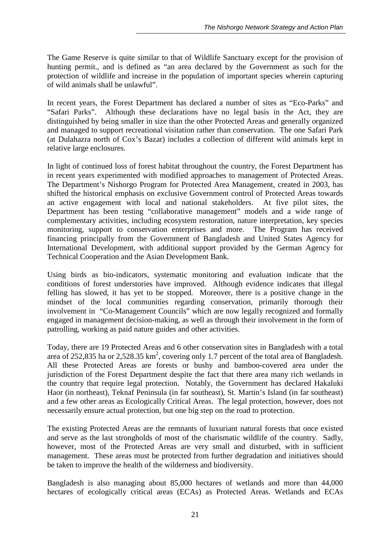The Game Reserve is quite similar to that of Wildlife Sanctuary except for the provision of hunting permit., and is defined as "an area declared by the Government as such for the protection of wildlife and increase in the population of important species wherein capturing of wild animals shall be unlawful".

In recent years, the Forest Department has declared a number of sites as "Eco-Parks" and "Safari Parks". Although these declarations have no legal basis in the Act, they are distinguished by being smaller in size than the other Protected Areas and generally organized and managed to support recreational visitation rather than conservation. The one Safari Park (at Dulahazra north of Cox's Bazar) includes a collection of different wild animals kept in relative large enclosures.

In light of continued loss of forest habitat throughout the country, the Forest Department has in recent years experimented with modified approaches to management of Protected Areas. The Department's Nishorgo Program for Protected Area Management, created in 2003, has shifted the historical emphasis on exclusive Government control of Protected Areas towards an active engagement with local and national stakeholders. At five pilot sites, the Department has been testing "collaborative management" models and a wide range of complementary activities, including ecosystem restoration, nature interpretation, key species monitoring, support to conservation enterprises and more. The Program has received financing principally from the Government of Bangladesh and United States Agency for International Development, with additional support provided by the German Agency for Technical Cooperation and the Asian Development Bank.

Using birds as bio-indicators, systematic monitoring and evaluation indicate that the conditions of forest understories have improved. Although evidence indicates that illegal felling has slowed, it has yet to be stopped. Moreover, there is a positive change in the mindset of the local communities regarding conservation, primarily thorough their involvement in "Co-Management Councils" which are now legally recognized and formally engaged in management decision-making, as well as through their involvement in the form of patrolling, working as paid nature guides and other activities.

Today, there are 19 Protected Areas and 6 other conservation sites in Bangladesh with a total area of 252,835 ha or 2,528.35  $km^2$ , covering only 1.7 percent of the total area of Bangladesh. All these Protected Areas are forests or bushy and bamboo-covered area under the jurisdiction of the Forest Department despite the fact that there area many rich wetlands in the country that require legal protection. Notably, the Government has declared Hakaluki Haor (in northeast), Teknaf Peninsula (in far southeast), St. Martin's Island (in far southeast) and a few other areas as Ecologically Critical Areas. The legal protection, however, does not necessarily ensure actual protection, but one big step on the road to protection.

The existing Protected Areas are the remnants of luxuriant natural forests that once existed and serve as the last strongholds of most of the charismatic wildlife of the country. Sadly, however, most of the Protected Areas are very small and disturbed, with in sufficient management. These areas must be protected from further degradation and initiatives should be taken to improve the health of the wilderness and biodiversity.

Bangladesh is also managing about 85,000 hectares of wetlands and more than 44,000 hectares of ecologically critical areas (ECAs) as Protected Areas. Wetlands and ECAs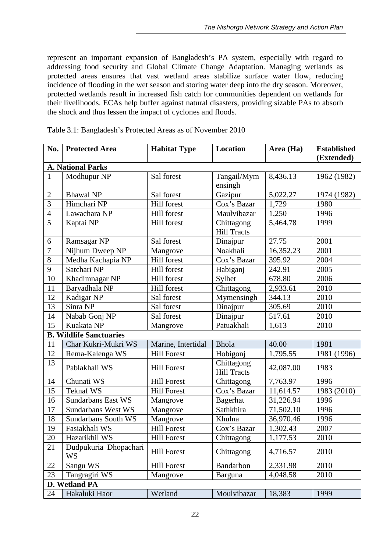represent an important expansion of Bangladesh's PA system, especially with regard to addressing food security and Global Climate Change Adaptation. Managing wetlands as protected areas ensures that vast wetland areas stabilize surface water flow, reducing incidence of flooding in the wet season and storing water deep into the dry season. Moreover, protected wetlands result in increased fish catch for communities dependent on wetlands for their livelihoods. ECAs help buffer against natural disasters, providing sizable PAs to absorb the shock and thus lessen the impact of cyclones and floods.

| No.                              | <b>Protected Area</b>          | <b>Habitat Type</b> | Location                         | Area (Ha) | <b>Established</b><br>(Extended) |  |  |  |
|----------------------------------|--------------------------------|---------------------|----------------------------------|-----------|----------------------------------|--|--|--|
|                                  | <b>A. National Parks</b>       |                     |                                  |           |                                  |  |  |  |
| $\mathbf{1}$                     | Modhupur NP                    | Sal forest          | Tangail/Mym                      | 8,436.13  | 1962 (1982)                      |  |  |  |
|                                  | <b>Bhawal NP</b>               |                     | ensingh                          |           |                                  |  |  |  |
| $\overline{2}$<br>$\overline{3}$ |                                | Sal forest          | Gazipur                          | 5,022.27  | 1974 (1982)                      |  |  |  |
|                                  | Himchari NP                    | Hill forest         | Cox's Bazar                      | 1,729     | 1980                             |  |  |  |
| $\overline{4}$                   | Lawachara NP                   | Hill forest         | Maulvibazar                      | 1,250     | 1996                             |  |  |  |
| 5                                | Kaptai NP                      | Hill forest         | Chittagong<br><b>Hill Tracts</b> | 5,464.78  | 1999                             |  |  |  |
| 6                                | Ramsagar NP                    | Sal forest          | Dinajpur                         | 27.75     | 2001                             |  |  |  |
| $\overline{7}$                   | Nijhum Dweep NP                | Mangrove            | Noakhali                         | 16,352.23 | 2001                             |  |  |  |
| 8                                | Medha Kachapia NP              | Hill forest         | Cox's Bazar                      | 395.92    | 2004                             |  |  |  |
| 9                                | Satchari NP                    | Hill forest         | Habiganj                         | 242.91    | 2005                             |  |  |  |
| 10                               | Khadimnagar NP                 | Hill forest         | Sylhet                           | 678.80    | 2006                             |  |  |  |
| 11                               | Baryadhala NP                  | <b>Hill forest</b>  | Chittagong                       | 2,933.61  | 2010                             |  |  |  |
| 12                               | Kadigar NP                     | Sal forest          | Mymensingh                       | 344.13    | 2010                             |  |  |  |
| 13                               | Sinra NP                       | Sal forest          | Dinajpur                         | 305.69    | 2010                             |  |  |  |
| 14                               | Nabab Gonj NP                  | Sal forest          | Dinajpur                         | 517.61    | 2010                             |  |  |  |
| 15                               | Kuakata NP                     | Mangrove            | Patuakhali                       | 1,613     | 2010                             |  |  |  |
|                                  | <b>B. Wildlife Sanctuaries</b> |                     |                                  |           |                                  |  |  |  |
| 11                               | Char Kukri-Mukri WS            | Marine, Intertidal  | <b>Bhola</b>                     | 40.00     | 1981                             |  |  |  |
| 12                               | Rema-Kalenga WS                | <b>Hill Forest</b>  | Hobigonj                         | 1,795.55  | 1981 (1996)                      |  |  |  |
| 13                               | Pablakhali WS                  | <b>Hill Forest</b>  | Chittagong<br><b>Hill Tracts</b> | 42,087.00 | 1983                             |  |  |  |
| 14                               | Chunati WS                     | <b>Hill Forest</b>  | Chittagong                       | 7,763.97  | 1996                             |  |  |  |
| 15                               | <b>Teknaf WS</b>               | <b>Hill Forest</b>  | Cox's Bazar                      | 11,614.57 | 1983 (2010)                      |  |  |  |
| 16                               | <b>Sundarbans East WS</b>      | Mangrove            | <b>Bagerhat</b>                  | 31,226.94 | 1996                             |  |  |  |
| 17                               | <b>Sundarbans West WS</b>      | Mangrove            | Sathkhira                        | 71,502.10 | 1996                             |  |  |  |
| 18                               | Sundarbans South WS            | Mangrove            | Khulna                           | 36,970.46 | 1996                             |  |  |  |
| 19                               | Fasiakhali WS                  | <b>Hill Forest</b>  | Cox's Bazar                      | 1,302.43  | 2007                             |  |  |  |
| $20\,$                           | Hazarikhil WS                  | <b>Hill Forest</b>  | Chittagong                       | 1,177.53  | 2010                             |  |  |  |
| $\overline{21}$                  | Dudpukuria Dhopachari<br>WS    | <b>Hill Forest</b>  | Chittagong                       | 4,716.57  | 2010                             |  |  |  |
| 22                               | Sangu WS                       | <b>Hill Forest</b>  | Bandarbon                        | 2,331.98  | 2010                             |  |  |  |
| 23                               | Tangragiri WS                  | Mangrove            | Barguna                          | 4,048.58  | 2010                             |  |  |  |
|                                  | D. Wetland PA                  |                     |                                  |           |                                  |  |  |  |
| 24                               | Hakaluki Haor                  | Wetland             | Moulvibazar                      | 18,383    | 1999                             |  |  |  |

Table 3.1: Bangladesh's Protected Areas as of November 2010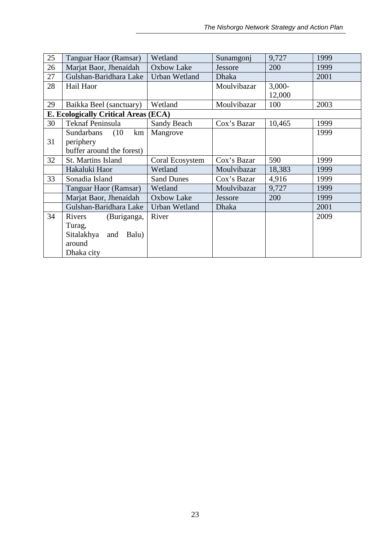| 25 | Tanguar Haor (Ramsar)                       | Wetland              | Sunamgonj    | 9,727    | 1999 |
|----|---------------------------------------------|----------------------|--------------|----------|------|
|    |                                             |                      |              |          |      |
| 26 | Marjat Baor, Jhenaidah                      | Oxbow Lake           | Jessore      | 200      | 1999 |
| 27 | Gulshan-Baridhara Lake                      | Urban Wetland        | <b>Dhaka</b> |          | 2001 |
| 28 | Hail Haor                                   |                      | Moulvibazar  | $3,000-$ |      |
|    |                                             |                      |              | 12,000   |      |
| 29 | Baikka Beel (sanctuary)                     | Wetland              | Moulvibazar  | 100      | 2003 |
|    | <b>E. Ecologically Critical Areas (ECA)</b> |                      |              |          |      |
| 30 | Teknaf Peninsula                            | Sandy Beach          | Cox's Bazar  | 10,465   | 1999 |
|    | Sundarbans<br>(10)<br>km                    | Mangrove             |              |          | 1999 |
| 31 | periphery                                   |                      |              |          |      |
|    | buffer around the forest)                   |                      |              |          |      |
| 32 | St. Martins Island                          | Coral Ecosystem      | Cox's Bazar  | 590      | 1999 |
|    | Hakaluki Haor                               | Wetland              | Moulvibazar  | 18,383   | 1999 |
| 33 | Sonadia Island                              | <b>Sand Dunes</b>    | Cox's Bazar  | 4,916    | 1999 |
|    | Tanguar Haor (Ramsar)                       | Wetland              | Moulvibazar  | 9,727    | 1999 |
|    | Marjat Baor, Jhenaidah                      | <b>Oxbow Lake</b>    | Jessore      | 200      | 1999 |
|    | Gulshan-Baridhara Lake                      | <b>Urban Wetland</b> | <b>Dhaka</b> |          | 2001 |
| 34 | Rivers<br>(Buriganga,                       | River                |              |          | 2009 |
|    | Turag,                                      |                      |              |          |      |
|    | Sitalakhya<br>Balu)<br>and                  |                      |              |          |      |
|    | around                                      |                      |              |          |      |
|    |                                             |                      |              |          |      |
|    | Dhaka city                                  |                      |              |          |      |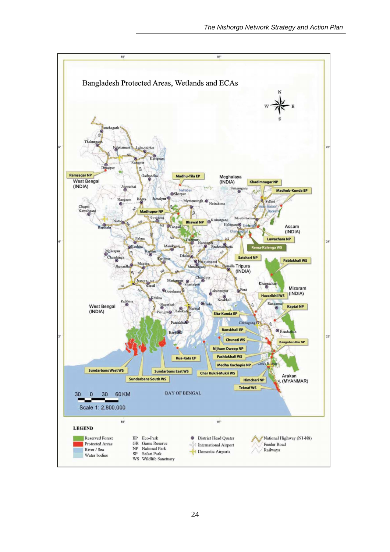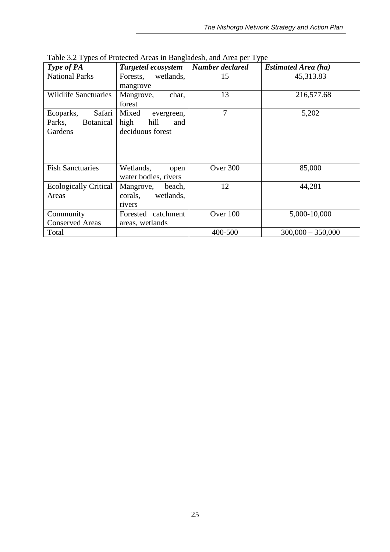| Type of PA                   | Targeted ecosystem    | Number declared | <b>Estimated Area (ha)</b> |
|------------------------------|-----------------------|-----------------|----------------------------|
| <b>National Parks</b>        | wetlands,<br>Forests, | 15              | 45,313.83                  |
|                              | mangrove              |                 |                            |
| <b>Wildlife Sanctuaries</b>  | Mangrove,<br>char,    | 13              | 216,577.68                 |
|                              | forest                |                 |                            |
| Safari<br>Ecoparks,          | Mixed<br>evergreen,   | 7               | 5,202                      |
| <b>Botanical</b><br>Parks,   | hill<br>high<br>and   |                 |                            |
| Gardens                      | deciduous forest      |                 |                            |
|                              |                       |                 |                            |
|                              |                       |                 |                            |
|                              |                       |                 |                            |
| <b>Fish Sanctuaries</b>      | Wetlands,<br>open     | Over 300        | 85,000                     |
|                              | water bodies, rivers  |                 |                            |
| <b>Ecologically Critical</b> | beach,<br>Mangrove,   | 12              | 44,281                     |
| Areas                        | wetlands,<br>corals,  |                 |                            |
|                              | rivers                |                 |                            |
| Community                    | Forested catchment    | Over 100        | 5,000-10,000               |
| <b>Conserved Areas</b>       | areas, wetlands       |                 |                            |
| Total                        |                       | 400-500         | $300,000 - 350,000$        |

Table 3.2 Types of Protected Areas in Bangladesh, and Area per Type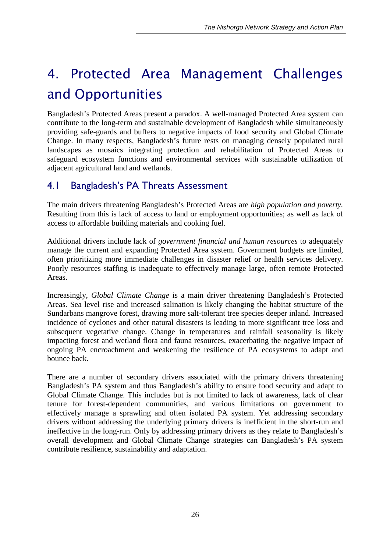# *4. Protected Area Management Challenges and Opportunities*

Bangladesh's Protected Areas present a paradox. A well-managed Protected Area system can contribute to the long-term and sustainable development of Bangladesh while simultaneously providing safe-guards and buffers to negative impacts of food security and Global Climate Change. In many respects, Bangladesh's future rests on managing densely populated rural landscapes as mosaics integrating protection and rehabilitation of Protected Areas to safeguard ecosystem functions and environmental services with sustainable utilization of adjacent agricultural land and wetlands.

### 4.1 Bangladesh's PA Threats Assessment

The main drivers threatening Bangladesh's Protected Areas are *high population and poverty.*  Resulting from this is lack of access to land or employment opportunities; as well as lack of access to affordable building materials and cooking fuel.

Additional drivers include lack of *government financial and human resources* to adequately manage the current and expanding Protected Area system. Government budgets are limited, often prioritizing more immediate challenges in disaster relief or health services delivery. Poorly resources staffing is inadequate to effectively manage large, often remote Protected Areas.

Increasingly, *Global Climate Change* is a main driver threatening Bangladesh's Protected Areas. Sea level rise and increased salination is likely changing the habitat structure of the Sundarbans mangrove forest, drawing more salt-tolerant tree species deeper inland. Increased incidence of cyclones and other natural disasters is leading to more significant tree loss and subsequent vegetative change. Change in temperatures and rainfall seasonality is likely impacting forest and wetland flora and fauna resources, exacerbating the negative impact of ongoing PA encroachment and weakening the resilience of PA ecosystems to adapt and bounce back.

There are a number of secondary drivers associated with the primary drivers threatening Bangladesh's PA system and thus Bangladesh's ability to ensure food security and adapt to Global Climate Change. This includes but is not limited to lack of awareness, lack of clear tenure for forest-dependent communities, and various limitations on government to effectively manage a sprawling and often isolated PA system. Yet addressing secondary drivers without addressing the underlying primary drivers is inefficient in the short-run and ineffective in the long-run. Only by addressing primary drivers as they relate to Bangladesh's overall development and Global Climate Change strategies can Bangladesh's PA system contribute resilience, sustainability and adaptation.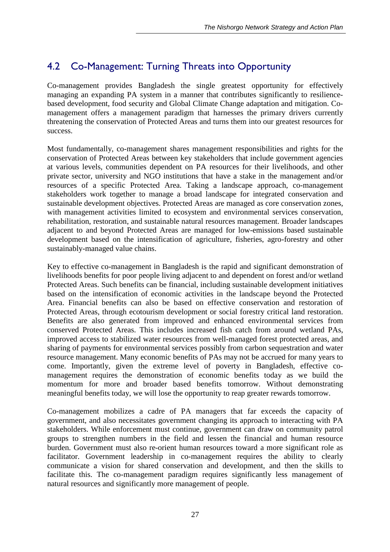## 4.2 Co-Management: Turning Threats into Opportunity

Co-management provides Bangladesh the single greatest opportunity for effectively managing an expanding PA system in a manner that contributes significantly to resiliencebased development, food security and Global Climate Change adaptation and mitigation. Comanagement offers a management paradigm that harnesses the primary drivers currently threatening the conservation of Protected Areas and turns them into our greatest resources for success.

Most fundamentally, co-management shares management responsibilities and rights for the conservation of Protected Areas between key stakeholders that include government agencies at various levels, communities dependent on PA resources for their livelihoods, and other private sector, university and NGO institutions that have a stake in the management and/or resources of a specific Protected Area. Taking a landscape approach, co-management stakeholders work together to manage a broad landscape for integrated conservation and sustainable development objectives. Protected Areas are managed as core conservation zones, with management activities limited to ecosystem and environmental services conservation, rehabilitation, restoration, and sustainable natural resources management. Broader landscapes adjacent to and beyond Protected Areas are managed for low-emissions based sustainable development based on the intensification of agriculture, fisheries, agro-forestry and other sustainably-managed value chains.

Key to effective co-management in Bangladesh is the rapid and significant demonstration of livelihoods benefits for poor people living adjacent to and dependent on forest and/or wetland Protected Areas. Such benefits can be financial, including sustainable development initiatives based on the intensification of economic activities in the landscape beyond the Protected Area. Financial benefits can also be based on effective conservation and restoration of Protected Areas, through ecotourism development or social forestry critical land restoration. Benefits are also generated from improved and enhanced environmental services from conserved Protected Areas. This includes increased fish catch from around wetland PAs, improved access to stabilized water resources from well-managed forest protected areas, and sharing of payments for environmental services possibly from carbon sequestration and water resource management. Many economic benefits of PAs may not be accrued for many years to come. Importantly, given the extreme level of poverty in Bangladesh, effective comanagement requires the demonstration of economic benefits today as we build the momentum for more and broader based benefits tomorrow. Without demonstrating meaningful benefits today, we will lose the opportunity to reap greater rewards tomorrow.

Co-management mobilizes a cadre of PA managers that far exceeds the capacity of government, and also necessitates government changing its approach to interacting with PA stakeholders. While enforcement must continue, government can draw on community patrol groups to strengthen numbers in the field and lessen the financial and human resource burden. Government must also re-orient human resources toward a more significant role as facilitator. Government leadership in co-management requires the ability to clearly communicate a vision for shared conservation and development, and then the skills to facilitate this. The co-management paradigm requires significantly less management of natural resources and significantly more management of people.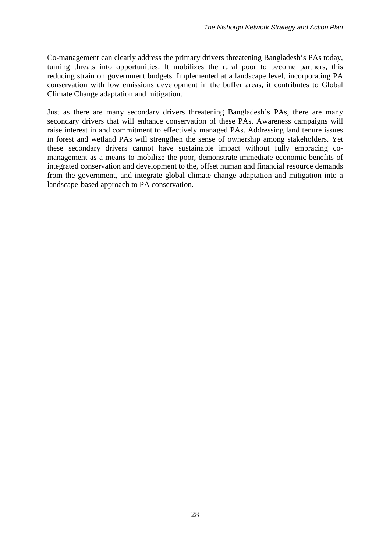Co-management can clearly address the primary drivers threatening Bangladesh's PAs today, turning threats into opportunities. It mobilizes the rural poor to become partners, this reducing strain on government budgets. Implemented at a landscape level, incorporating PA conservation with low emissions development in the buffer areas, it contributes to Global Climate Change adaptation and mitigation.

Just as there are many secondary drivers threatening Bangladesh's PAs, there are many secondary drivers that will enhance conservation of these PAs. Awareness campaigns will raise interest in and commitment to effectively managed PAs. Addressing land tenure issues in forest and wetland PAs will strengthen the sense of ownership among stakeholders. Yet these secondary drivers cannot have sustainable impact without fully embracing comanagement as a means to mobilize the poor, demonstrate immediate economic benefits of integrated conservation and development to the, offset human and financial resource demands from the government, and integrate global climate change adaptation and mitigation into a landscape-based approach to PA conservation.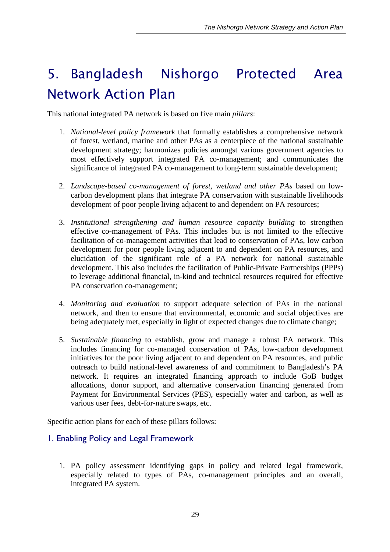# *5. Bangladesh Nishorgo Protected Area Network Action Plan*

This national integrated PA network is based on five main *pillars*:

- 1. *National-level policy framework* that formally establishes a comprehensive network of forest, wetland, marine and other PAs as a centerpiece of the national sustainable development strategy; harmonizes policies amongst various government agencies to most effectively support integrated PA co-management; and communicates the significance of integrated PA co-management to long-term sustainable development;
- 2. *Landscape-based co-management of forest, wetland and other PAs* based on lowcarbon development plans that integrate PA conservation with sustainable livelihoods development of poor people living adjacent to and dependent on PA resources;
- 3. *Institutional strengthening and human resource capacity building* to strengthen effective co-management of PAs. This includes but is not limited to the effective facilitation of co-management activities that lead to conservation of PAs, low carbon development for poor people living adjacent to and dependent on PA resources, and elucidation of the significant role of a PA network for national sustainable development. This also includes the facilitation of Public-Private Partnerships (PPPs) to leverage additional financial, in-kind and technical resources required for effective PA conservation co-management;
- 4. *Monitoring and evaluation* to support adequate selection of PAs in the national network, and then to ensure that environmental, economic and social objectives are being adequately met, especially in light of expected changes due to climate change;
- 5. *Sustainable financing* to establish, grow and manage a robust PA network. This includes financing for co-managed conservation of PAs, low-carbon development initiatives for the poor living adjacent to and dependent on PA resources, and public outreach to build national-level awareness of and commitment to Bangladesh's PA network. It requires an integrated financing approach to include GoB budget allocations, donor support, and alternative conservation financing generated from Payment for Environmental Services (PES), especially water and carbon, as well as various user fees, debt-for-nature swaps, etc.

Specific action plans for each of these pillars follows:

#### 1. Enabling Policy and Legal Framework

1. PA policy assessment identifying gaps in policy and related legal framework, especially related to types of PAs, co-management principles and an overall, integrated PA system.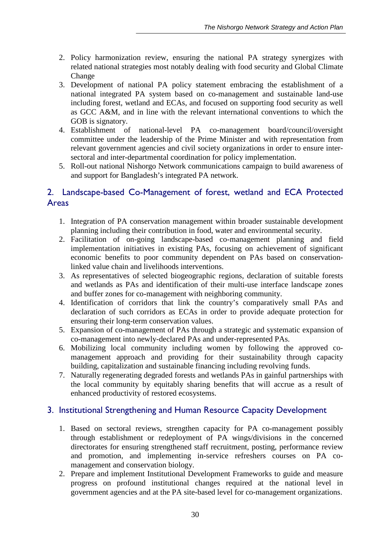- 2. Policy harmonization review, ensuring the national PA strategy synergizes with related national strategies most notably dealing with food security and Global Climate Change
- 3. Development of national PA policy statement embracing the establishment of a national integrated PA system based on co-management and sustainable land-use including forest, wetland and ECAs, and focused on supporting food security as well as GCC A&M, and in line with the relevant international conventions to which the GOB is signatory.
- 4. Establishment of national-level PA co-management board/council/oversight committee under the leadership of the Prime Minister and with representation from relevant government agencies and civil society organizations in order to ensure intersectoral and inter-departmental coordination for policy implementation.
- 5. Roll-out national Nishorgo Network communications campaign to build awareness of and support for Bangladesh's integrated PA network.

#### 2. Landscape-based Co-Management of forest, wetland and ECA Protected Areas

- 1. Integration of PA conservation management within broader sustainable development planning including their contribution in food, water and environmental security.
- 2. Facilitation of on-going landscape-based co-management planning and field implementation initiatives in existing PAs, focusing on achievement of significant economic benefits to poor community dependent on PAs based on conservationlinked value chain and livelihoods interventions.
- 3. As representatives of selected biogeographic regions, declaration of suitable forests and wetlands as PAs and identification of their multi-use interface landscape zones and buffer zones for co-management with neighboring community.
- 4. Identification of corridors that link the country's comparatively small PAs and declaration of such corridors as ECAs in order to provide adequate protection for ensuring their long-term conservation values.
- 5. Expansion of co-management of PAs through a strategic and systematic expansion of co-management into newly-declared PAs and under-represented PAs.
- 6. Mobilizing local community including women by following the approved comanagement approach and providing for their sustainability through capacity building, capitalization and sustainable financing including revolving funds.
- 7. Naturally regenerating degraded forests and wetlands PAs in gainful partnerships with the local community by equitably sharing benefits that will accrue as a result of enhanced productivity of restored ecosystems.

#### 3. Institutional Strengthening and Human Resource Capacity Development

- 1. Based on sectoral reviews, strengthen capacity for PA co-management possibly through establishment or redeployment of PA wings/divisions in the concerned directorates for ensuring strengthened staff recruitment, posting, performance review and promotion, and implementing in-service refreshers courses on PA comanagement and conservation biology.
- 2. Prepare and implement Institutional Development Frameworks to guide and measure progress on profound institutional changes required at the national level in government agencies and at the PA site-based level for co-management organizations.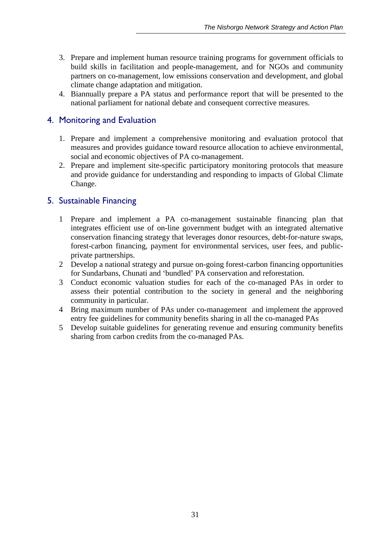- 3. Prepare and implement human resource training programs for government officials to build skills in facilitation and people-management, and for NGOs and community partners on co-management, low emissions conservation and development, and global climate change adaptation and mitigation.
- 4. Biannually prepare a PA status and performance report that will be presented to the national parliament for national debate and consequent corrective measures.

#### 4. Monitoring and Evaluation

- 1. Prepare and implement a comprehensive monitoring and evaluation protocol that measures and provides guidance toward resource allocation to achieve environmental, social and economic objectives of PA co-management.
- 2. Prepare and implement site-specific participatory monitoring protocols that measure and provide guidance for understanding and responding to impacts of Global Climate Change.

#### 5. Sustainable Financing

- 1 Prepare and implement a PA co-management sustainable financing plan that integrates efficient use of on-line government budget with an integrated alternative conservation financing strategy that leverages donor resources, debt-for-nature swaps, forest-carbon financing, payment for environmental services, user fees, and publicprivate partnerships.
- 2 Develop a national strategy and pursue on-going forest-carbon financing opportunities for Sundarbans, Chunati and 'bundled' PA conservation and reforestation.
- 3 Conduct economic valuation studies for each of the co-managed PAs in order to assess their potential contribution to the society in general and the neighboring community in particular.
- 4 Bring maximum number of PAs under co-management and implement the approved entry fee guidelines for community benefits sharing in all the co-managed PAs
- 5 Develop suitable guidelines for generating revenue and ensuring community benefits sharing from carbon credits from the co-managed PAs.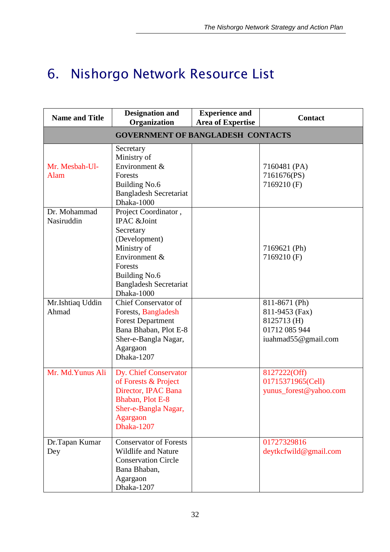# *6. Nishorgo Network Resource List*

| <b>Name and Title</b>                    | <b>Designation and</b><br>Organization                                                                                                                                       | <b>Experience and</b><br><b>Area of Expertise</b> | <b>Contact</b>                                                                         |  |  |  |
|------------------------------------------|------------------------------------------------------------------------------------------------------------------------------------------------------------------------------|---------------------------------------------------|----------------------------------------------------------------------------------------|--|--|--|
| <b>GOVERNMENT OF BANGLADESH CONTACTS</b> |                                                                                                                                                                              |                                                   |                                                                                        |  |  |  |
| Mr. Mesbah-Ul-<br>Alam                   | Secretary<br>Ministry of<br>Environment &<br><b>Forests</b><br><b>Building No.6</b><br><b>Bangladesh Secretariat</b><br>Dhaka-1000                                           |                                                   | 7160481 (PA)<br>7161676(PS)<br>7169210 (F)                                             |  |  |  |
| Dr. Mohammad<br>Nasiruddin               | Project Coordinator,<br>IPAC &Joint<br>Secretary<br>(Development)<br>Ministry of<br>Environment &<br>Forests<br>Building No.6<br><b>Bangladesh Secretariat</b><br>Dhaka-1000 |                                                   | 7169621 (Ph)<br>7169210 (F)                                                            |  |  |  |
| Mr.Ishtiaq Uddin<br>Ahmad                | Chief Conservator of<br>Forests, Bangladesh<br><b>Forest Department</b><br>Bana Bhaban, Plot E-8<br>Sher-e-Bangla Nagar,<br>Agargaon<br>Dhaka-1207                           |                                                   | 811-8671 (Ph)<br>811-9453 (Fax)<br>8125713 (H)<br>01712 085 944<br>iuahmad55@gmail.com |  |  |  |
| Mr. Md. Yunus Ali                        | Dy. Chief Conservator<br>of Forests & Project<br>Director, IPAC Bana<br>Bhaban, Plot E-8<br>Sher-e-Bangla Nagar,<br>Agargaon<br>Dhaka-1207                                   |                                                   | 8127222(Off)<br>01715371965(Cell)<br>yunus_forest@yahoo.com                            |  |  |  |
| Dr.Tapan Kumar<br>Dey                    | <b>Conservator of Forests</b><br><b>Wildlife and Nature</b><br><b>Conservation Circle</b><br>Bana Bhaban,<br>Agargaon<br>Dhaka-1207                                          |                                                   | 01727329816<br>deytkcfwild@gmail.com                                                   |  |  |  |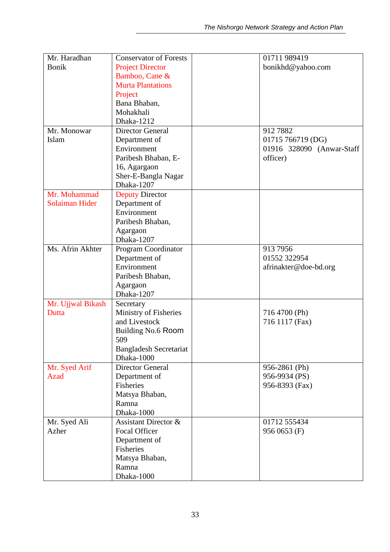| Mr. Haradhan          | <b>Conservator of Forests</b>               | 01711 989419              |
|-----------------------|---------------------------------------------|---------------------------|
| <b>Bonik</b>          | <b>Project Director</b>                     | bonikhd@yahoo.com         |
|                       | Bamboo, Cane &                              |                           |
|                       | <b>Murta Plantations</b>                    |                           |
|                       | Project                                     |                           |
|                       | Bana Bhaban,                                |                           |
|                       |                                             |                           |
|                       | Mohakhali                                   |                           |
|                       | Dhaka-1212                                  |                           |
| Mr. Monowar           | <b>Director General</b>                     | 9127882                   |
| Islam                 | Department of                               | 01715 766719 (DG)         |
|                       | Environment                                 | 01916 328090 (Anwar-Staff |
|                       | Paribesh Bhaban, E-                         | officer)                  |
|                       | 16, Agargaon                                |                           |
|                       | Sher-E-Bangla Nagar                         |                           |
|                       | Dhaka-1207                                  |                           |
| Mr. Mohammad          | <b>Deputy Director</b>                      |                           |
| <b>Solaiman Hider</b> | Department of                               |                           |
|                       | Environment                                 |                           |
|                       | Paribesh Bhaban,                            |                           |
|                       | Agargaon                                    |                           |
|                       | Dhaka-1207                                  |                           |
| Ms. Afrin Akhter      | Program Coordinator                         | 913 7956                  |
|                       | Department of                               | 01552 322954              |
|                       | Environment                                 | afrinakter@doe-bd.org     |
|                       | Paribesh Bhaban,                            |                           |
|                       | Agargaon                                    |                           |
|                       | Dhaka-1207                                  |                           |
| Mr. Ujjwal Bikash     | Secretary                                   |                           |
| Dutta                 | Ministry of Fisheries                       | 716 4700 (Ph)             |
|                       | and Livestock                               | 716 1117 (Fax)            |
|                       | Building No.6 Room                          |                           |
|                       | 509                                         |                           |
|                       |                                             |                           |
|                       | <b>Bangladesh Secretariat</b><br>Dhaka-1000 |                           |
|                       | <b>Director General</b>                     |                           |
| Mr. Syed Arif         |                                             | 956-2861 (Ph)             |
| Azad                  | Department of                               | 956-9934 (PS)             |
|                       | <b>Fisheries</b>                            | 956-8393 (Fax)            |
|                       | Matsya Bhaban,                              |                           |
|                       | Ramna                                       |                           |
|                       | Dhaka-1000                                  |                           |
| Mr. Syed Ali          | Assistant Director &                        | 01712 555434              |
| Azher                 | <b>Focal Officer</b>                        | 956 0653 (F)              |
|                       | Department of                               |                           |
|                       | <b>Fisheries</b>                            |                           |
|                       | Matsya Bhaban,                              |                           |
|                       | Ramna                                       |                           |
|                       | Dhaka-1000                                  |                           |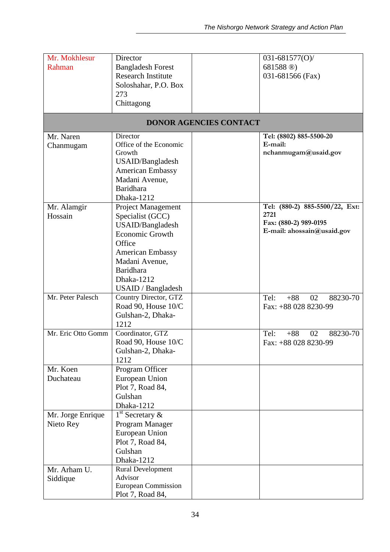| Mr. Mokhlesur<br>Rahman                        | Director<br><b>Bangladesh Forest</b><br><b>Research Institute</b><br>Soloshahar, P.O. Box<br>273<br>Chittagong                                                                                      |                               | 031-681577(O)/<br>681588 <sup>(8)</sup><br>031-681566 (Fax)                                   |
|------------------------------------------------|-----------------------------------------------------------------------------------------------------------------------------------------------------------------------------------------------------|-------------------------------|-----------------------------------------------------------------------------------------------|
|                                                |                                                                                                                                                                                                     | <b>DONOR AGENCIES CONTACT</b> |                                                                                               |
| Mr. Naren<br>Chanmugam                         | Director<br>Office of the Economic<br>Growth<br>USAID/Bangladesh<br><b>American Embassy</b><br>Madani Avenue,<br><b>Baridhara</b><br>Dhaka-1212                                                     |                               | Tel: (8802) 885-5500-20<br>E-mail:<br>nchanmugam@usaid.gov                                    |
| Mr. Alamgir<br>Hossain                         | <b>Project Management</b><br>Specialist (GCC)<br>USAID/Bangladesh<br><b>Economic Growth</b><br>Office<br><b>American Embassy</b><br>Madani Avenue,<br>Baridhara<br>Dhaka-1212<br>USAID / Bangladesh |                               | Tel: (880-2) 885-5500/22, Ext:<br>2721<br>Fax: (880-2) 989-0195<br>E-mail: ahossain@usaid.gov |
| Mr. Peter Palesch                              | Country Director, GTZ<br>Road 90, House 10/C<br>Gulshan-2, Dhaka-<br>1212                                                                                                                           |                               | Tel:<br>88230-70<br>$+88$<br>02<br>Fax: +88 028 8230-99                                       |
| Mr. Eric Otto Gomm                             | Coordinator, GTZ<br>Road 90, House 10/C<br>Gulshan-2, Dhaka-<br>1212                                                                                                                                |                               | 02<br>88230-70<br>Tel:<br>$+88$<br>Fax: +88 028 8230-99                                       |
| Mr. Koen<br>Duchateau                          | Program Officer<br>European Union<br>Plot 7, Road 84,<br>Gulshan<br>Dhaka-1212                                                                                                                      |                               |                                                                                               |
| Mr. Jorge Enrique<br>Nieto Rey<br>Mr. Arham U. | $1st$ Secretary $\&$<br>Program Manager<br>European Union<br>Plot 7, Road 84,<br>Gulshan<br>Dhaka-1212<br><b>Rural Development</b>                                                                  |                               |                                                                                               |
| Siddique                                       | Advisor<br><b>European Commission</b><br>Plot 7, Road 84,                                                                                                                                           |                               |                                                                                               |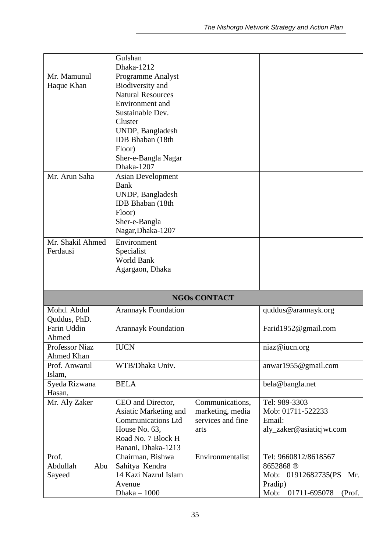|                  | Gulshan<br>Dhaka-1212                  |                     |                            |
|------------------|----------------------------------------|---------------------|----------------------------|
| Mr. Mamunul      | Programme Analyst                      |                     |                            |
| Haque Khan       | Biodiversity and                       |                     |                            |
|                  | <b>Natural Resources</b>               |                     |                            |
|                  | Environment and                        |                     |                            |
|                  | Sustainable Dev.                       |                     |                            |
|                  | Cluster                                |                     |                            |
|                  | UNDP, Bangladesh                       |                     |                            |
|                  | <b>IDB</b> Bhaban (18th                |                     |                            |
|                  | Floor)                                 |                     |                            |
|                  | Sher-e-Bangla Nagar                    |                     |                            |
|                  | Dhaka-1207                             |                     |                            |
| Mr. Arun Saha    | <b>Asian Development</b>               |                     |                            |
|                  | <b>Bank</b>                            |                     |                            |
|                  | UNDP, Bangladesh                       |                     |                            |
|                  | IDB Bhaban (18th                       |                     |                            |
|                  | Floor)                                 |                     |                            |
|                  | Sher-e-Bangla                          |                     |                            |
|                  | Nagar, Dhaka-1207                      |                     |                            |
| Mr. Shakil Ahmed | Environment                            |                     |                            |
| Ferdausi         | Specialist                             |                     |                            |
|                  | World Bank                             |                     |                            |
|                  | Agargaon, Dhaka                        |                     |                            |
|                  |                                        |                     |                            |
|                  |                                        |                     |                            |
|                  |                                        | <b>NGOs CONTACT</b> |                            |
| Mohd. Abdul      | <b>Arannayk Foundation</b>             |                     | quddus@arannayk.org        |
| Quddus, PhD.     |                                        |                     |                            |
| Farin Uddin      | <b>Arannayk Foundation</b>             |                     | Farid1952@gmail.com        |
| Ahmed            |                                        |                     |                            |
| Professor Niaz   | <b>IUCN</b>                            |                     | niaz@iucn.org              |
| Ahmed Khan       |                                        |                     |                            |
| Prof. Anwarul    | WTB/Dhaka Univ.                        |                     | anwar1955@gmail.com        |
| Islam,           |                                        |                     |                            |
| Syeda Rizwana    | <b>BELA</b>                            |                     | bela@bangla.net            |
| Hasan,           |                                        |                     |                            |
| Mr. Aly Zaker    | CEO and Director,                      | Communications,     | Tel: 989-3303              |
|                  | Asiatic Marketing and                  | marketing, media    | Mob: 01711-522233          |
|                  | <b>Communications Ltd</b>              | services and fine   | Email:                     |
|                  | House No. 63,                          | arts                | aly_zaker@asiaticjwt.com   |
|                  | Road No. 7 Block H                     |                     |                            |
| Prof.            | Banani, Dhaka-1213<br>Chairman, Bishwa | Environmentalist    | Tel: 9660812/8618567       |
| Abdullah<br>Abu  | Sahitya Kendra                         |                     | 8652868 <sup>®</sup>       |
| Sayeed           | 14 Kazi Nazrul Islam                   |                     | Mob: 01912682735(PS<br>Mr. |
|                  | Avenue                                 |                     | Pradip)<br>01711-695078    |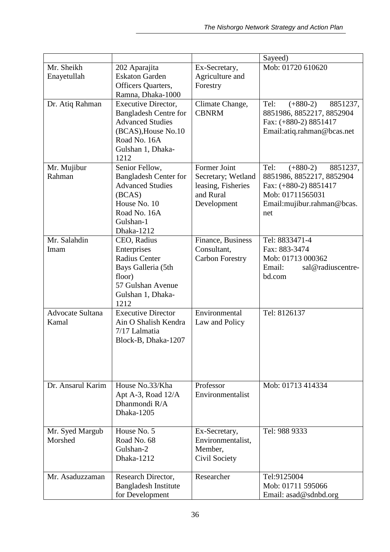|                            |                                                                                                                                                    |                                                                                      | Sayeed)                                                                                                                                       |
|----------------------------|----------------------------------------------------------------------------------------------------------------------------------------------------|--------------------------------------------------------------------------------------|-----------------------------------------------------------------------------------------------------------------------------------------------|
| Mr. Sheikh                 | 202 Aparajita                                                                                                                                      | Ex-Secretary,                                                                        | Mob: 01720 610620                                                                                                                             |
| Enayetullah                | <b>Eskaton Garden</b><br>Officers Quarters,                                                                                                        | Agriculture and<br>Forestry                                                          |                                                                                                                                               |
|                            | Ramna, Dhaka-1000                                                                                                                                  |                                                                                      |                                                                                                                                               |
| Dr. Atiq Rahman            | Executive Director,<br><b>Bangladesh Centre for</b><br><b>Advanced Studies</b><br>(BCAS), House No.10<br>Road No. 16A<br>Gulshan 1, Dhaka-<br>1212 | Climate Change,<br><b>CBNRM</b>                                                      | Tel:<br>$(+880-2)$<br>8851237,<br>8851986, 8852217, 8852904<br>Fax: (+880-2) 8851417<br>Email:atiq.rahman@bcas.net                            |
| Mr. Mujibur<br>Rahman      | Senior Fellow,<br><b>Bangladesh Center for</b><br><b>Advanced Studies</b><br>(BCAS)<br>House No. 10<br>Road No. 16A<br>Gulshan-1<br>Dhaka-1212     | Former Joint<br>Secretary; Wetland<br>leasing, Fisheries<br>and Rural<br>Development | $(+880-2)$<br>Tel:<br>8851237,<br>8851986, 8852217, 8852904<br>Fax: (+880-2) 8851417<br>Mob: 01711565031<br>Email:mujibur.rahman@bcas.<br>net |
| Mr. Salahdin<br>Imam       | CEO, Radius<br>Enterprises<br><b>Radius Center</b><br>Bays Galleria (5th<br>floor)<br>57 Gulshan Avenue<br>Gulshan 1, Dhaka-<br>1212               | Finance, Business<br>Consultant,<br><b>Carbon Forestry</b>                           | Tel: 8833471-4<br>Fax: 883-3474<br>Mob: 01713 000362<br>Email:<br>sal@radiuscentre-<br>bd.com                                                 |
| Advocate Sultana<br>Kamal  | <b>Executive Director</b><br>Ain O Shalish Kendra<br>7/17 Lalmatia<br>Block-B, Dhaka-1207                                                          | Environmental<br>Law and Policy                                                      | Tel: 8126137                                                                                                                                  |
| Dr. Ansarul Karim          | House No.33/Kha<br>Apt A-3, Road 12/A<br>Dhanmondi R/A<br>Dhaka-1205                                                                               | Professor<br>Environmentalist                                                        | Mob: 01713 414334                                                                                                                             |
| Mr. Syed Margub<br>Morshed | House No. 5<br>Road No. 68<br>Gulshan-2<br>Dhaka-1212                                                                                              | Ex-Secretary,<br>Environmentalist,<br>Member,<br>Civil Society                       | Tel: 988 9333                                                                                                                                 |
| Mr. Asaduzzaman            | Research Director,<br><b>Bangladesh Institute</b><br>for Development                                                                               | Researcher                                                                           | Tel:9125004<br>Mob: 01711 595066<br>Email: asad@sdnbd.org                                                                                     |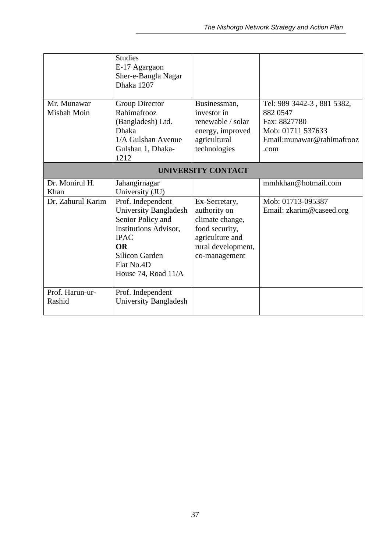|                   | <b>Studies</b><br>E-17 Agargaon<br>Sher-e-Bangla Nagar<br>Dhaka 1207 |                                   |                            |
|-------------------|----------------------------------------------------------------------|-----------------------------------|----------------------------|
| Mr. Munawar       | Group Director                                                       | Businessman,                      | Tel: 989 3442-3, 881 5382, |
| Misbah Moin       | Rahimafrooz<br>(Bangladesh) Ltd.                                     | investor in<br>renewable / solar  | 882 0547<br>Fax: 8827780   |
|                   | <b>Dhaka</b>                                                         | energy, improved                  | Mob: 01711 537633          |
|                   | 1/A Gulshan Avenue                                                   | agricultural                      | Email: munawar@rahimafrooz |
|                   | Gulshan 1, Dhaka-                                                    | technologies                      | .com                       |
|                   | 1212                                                                 |                                   |                            |
|                   |                                                                      | <b>UNIVERSITY CONTACT</b>         |                            |
| Dr. Monirul H.    | Jahangirnagar                                                        |                                   | mmhkhan@hotmail.com        |
| Khan              | University (JU)                                                      |                                   |                            |
| Dr. Zahurul Karim | Prof. Independent                                                    | Ex-Secretary,                     | Mob: 01713-095387          |
|                   | University Bangladesh                                                | authority on                      | Email: zkarim@caseed.org   |
|                   | Senior Policy and                                                    | climate change,                   |                            |
|                   | <b>Institutions Advisor,</b><br><b>IPAC</b>                          | food security,<br>agriculture and |                            |
|                   | <b>OR</b>                                                            | rural development,                |                            |
|                   | <b>Silicon Garden</b>                                                | co-management                     |                            |
|                   | Flat No.4D                                                           |                                   |                            |
|                   | House 74, Road 11/A                                                  |                                   |                            |
|                   |                                                                      |                                   |                            |
| Prof. Harun-ur-   | Prof. Independent                                                    |                                   |                            |
| Rashid            | <b>University Bangladesh</b>                                         |                                   |                            |
|                   |                                                                      |                                   |                            |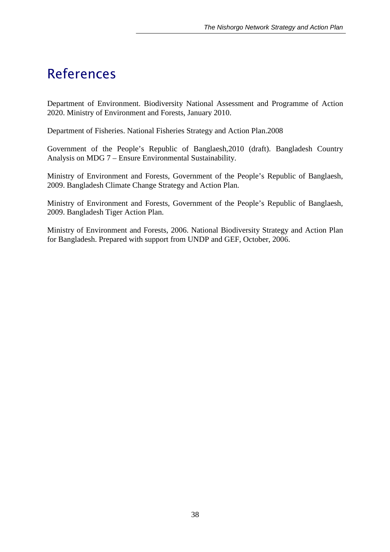## *References*

Department of Environment. Biodiversity National Assessment and Programme of Action 2020. Ministry of Environment and Forests, January 2010.

Department of Fisheries. National Fisheries Strategy and Action Plan.2008

Government of the People's Republic of Banglaesh,2010 (draft). Bangladesh Country Analysis on MDG 7 – Ensure Environmental Sustainability.

Ministry of Environment and Forests, Government of the People's Republic of Banglaesh, 2009. Bangladesh Climate Change Strategy and Action Plan.

Ministry of Environment and Forests, Government of the People's Republic of Banglaesh, 2009. Bangladesh Tiger Action Plan.

Ministry of Environment and Forests, 2006. National Biodiversity Strategy and Action Plan for Bangladesh. Prepared with support from UNDP and GEF, October, 2006.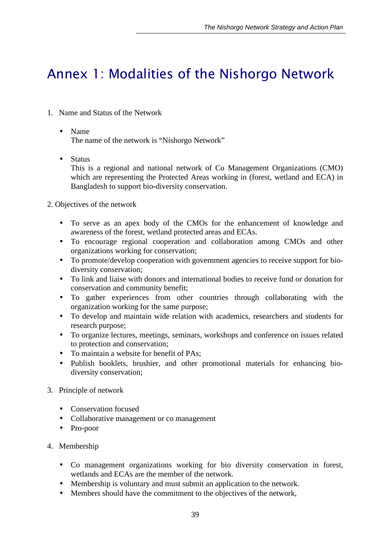## *Annex 1: Modalities of the Nishorgo Network*

- 1. Name and Status of the Network
	- Name

The name of the network is "Nishorgo Network"

• Status

This is a regional and national network of Co Management Organizations (CMO) which are representing the Protected Areas working in (forest, wetland and ECA) in Bangladesh to support bio-diversity conservation.

- 2. Objectives of the network
	- To serve as an apex body of the CMOs for the enhancement of knowledge and awareness of the forest, wetland protected areas and ECAs.
	- To encourage regional cooperation and collaboration among CMOs and other organizations working for conservation;
	- To promote/develop cooperation with government agencies to receive support for biodiversity conservation;
	- To link and liaise with donors and international bodies to receive fund or donation for conservation and community benefit;
	- To gather experiences from other countries through collaborating with the organization working for the same purpose;
	- To develop and maintain wide relation with academics, researchers and students for research purpose;
	- To organize lectures, meetings, seminars, workshops and conference on issues related to protection and conservation;
	- To maintain a website for benefit of PAs;
	- Publish booklets, brushier, and other promotional materials for enhancing biodiversity conservation;
- 3. Principle of network
	- Conservation focused
	- Collaborative management or co management
	- Pro-poor
- 4. Membership
	- Co management organizations working for bio diversity conservation in forest, wetlands and ECAs are the member of the network.
	- Membership is voluntary and must submit an application to the network.
	- Members should have the commitment to the objectives of the network,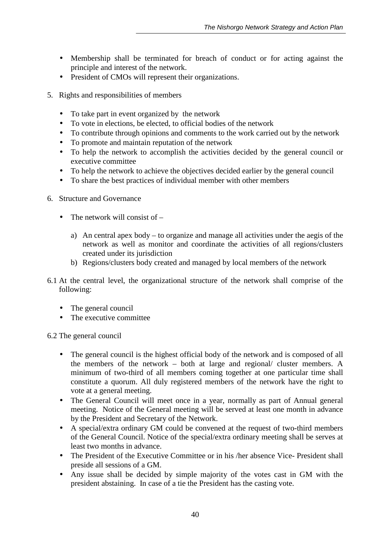- Membership shall be terminated for breach of conduct or for acting against the principle and interest of the network.
- President of CMOs will represent their organizations.
- 5. Rights and responsibilities of members
	- To take part in event organized by the network
	- To vote in elections, be elected, to official bodies of the network
	- To contribute through opinions and comments to the work carried out by the network
	- To promote and maintain reputation of the network
	- To help the network to accomplish the activities decided by the general council or executive committee
	- To help the network to achieve the objectives decided earlier by the general council
	- To share the best practices of individual member with other members
- 6. Structure and Governance
	- The network will consist of  $$ 
		- a) An central apex body to organize and manage all activities under the aegis of the network as well as monitor and coordinate the activities of all regions/clusters created under its jurisdiction
		- b) Regions/clusters body created and managed by local members of the network
- 6.1 At the central level, the organizational structure of the network shall comprise of the following:
	- The general council
	- The executive committee

6.2 The general council

- The general council is the highest official body of the network and is composed of all the members of the network – both at large and regional/ cluster members. A minimum of two-third of all members coming together at one particular time shall constitute a quorum. All duly registered members of the network have the right to vote at a general meeting.
- The General Council will meet once in a year, normally as part of Annual general meeting. Notice of the General meeting will be served at least one month in advance by the President and Secretary of the Network.
- A special/extra ordinary GM could be convened at the request of two-third members of the General Council. Notice of the special/extra ordinary meeting shall be serves at least two months in advance.
- The President of the Executive Committee or in his /her absence Vice-President shall preside all sessions of a GM.
- Any issue shall be decided by simple majority of the votes cast in GM with the president abstaining. In case of a tie the President has the casting vote.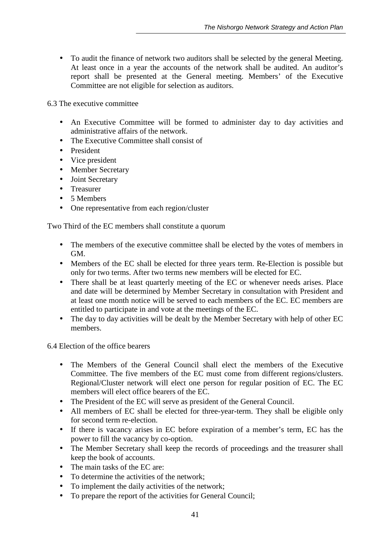• To audit the finance of network two auditors shall be selected by the general Meeting. At least once in a year the accounts of the network shall be audited. An auditor's report shall be presented at the General meeting. Members' of the Executive Committee are not eligible for selection as auditors.

6.3 The executive committee

- An Executive Committee will be formed to administer day to day activities and administrative affairs of the network.
- The Executive Committee shall consist of
- President
- Vice president
- Member Secretary
- Joint Secretary
- Treasurer
- 5 Members
- One representative from each region/cluster

Two Third of the EC members shall constitute a quorum

- The members of the executive committee shall be elected by the votes of members in GM.
- Members of the EC shall be elected for three years term. Re-Election is possible but only for two terms. After two terms new members will be elected for EC.
- There shall be at least quarterly meeting of the EC or whenever needs arises. Place and date will be determined by Member Secretary in consultation with President and at least one month notice will be served to each members of the EC. EC members are entitled to participate in and vote at the meetings of the EC.
- The day to day activities will be dealt by the Member Secretary with help of other EC members.

6.4 Election of the office bearers

- The Members of the General Council shall elect the members of the Executive Committee. The five members of the EC must come from different regions/clusters. Regional/Cluster network will elect one person for regular position of EC. The EC members will elect office bearers of the EC.
- The President of the EC will serve as president of the General Council.
- All members of EC shall be elected for three-year-term. They shall be eligible only for second term re-election.
- If there is vacancy arises in EC before expiration of a member's term, EC has the power to fill the vacancy by co-option.
- The Member Secretary shall keep the records of proceedings and the treasurer shall keep the book of accounts.
- The main tasks of the EC are:
- To determine the activities of the network;
- To implement the daily activities of the network;
- To prepare the report of the activities for General Council;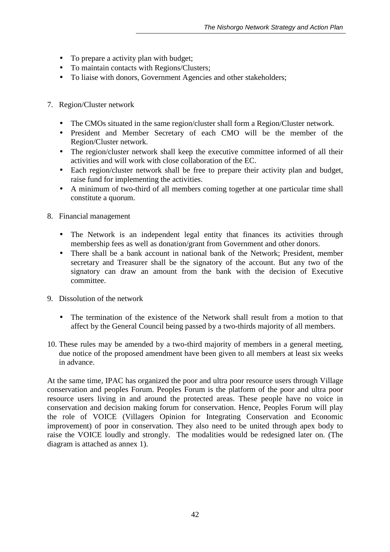- To prepare a activity plan with budget;
- To maintain contacts with Regions/Clusters;
- To liaise with donors, Government Agencies and other stakeholders;
- 7. Region/Cluster network
	- The CMOs situated in the same region/cluster shall form a Region/Cluster network.
	- President and Member Secretary of each CMO will be the member of the Region/Cluster network.
	- The region/cluster network shall keep the executive committee informed of all their activities and will work with close collaboration of the EC.
	- Each region/cluster network shall be free to prepare their activity plan and budget, raise fund for implementing the activities.
	- A minimum of two-third of all members coming together at one particular time shall constitute a quorum.
- 8. Financial management
	- The Network is an independent legal entity that finances its activities through membership fees as well as donation/grant from Government and other donors.
	- There shall be a bank account in national bank of the Network; President, member secretary and Treasurer shall be the signatory of the account. But any two of the signatory can draw an amount from the bank with the decision of Executive committee.
- 9. Dissolution of the network
	- The termination of the existence of the Network shall result from a motion to that affect by the General Council being passed by a two-thirds majority of all members.
- 10. These rules may be amended by a two-third majority of members in a general meeting, due notice of the proposed amendment have been given to all members at least six weeks in advance.

At the same time, IPAC has organized the poor and ultra poor resource users through Village conservation and peoples Forum. Peoples Forum is the platform of the poor and ultra poor resource users living in and around the protected areas. These people have no voice in conservation and decision making forum for conservation. Hence, Peoples Forum will play the role of VOICE (Villagers Opinion for Integrating Conservation and Economic improvement) of poor in conservation. They also need to be united through apex body to raise the VOICE loudly and strongly. The modalities would be redesigned later on. (The diagram is attached as annex 1).